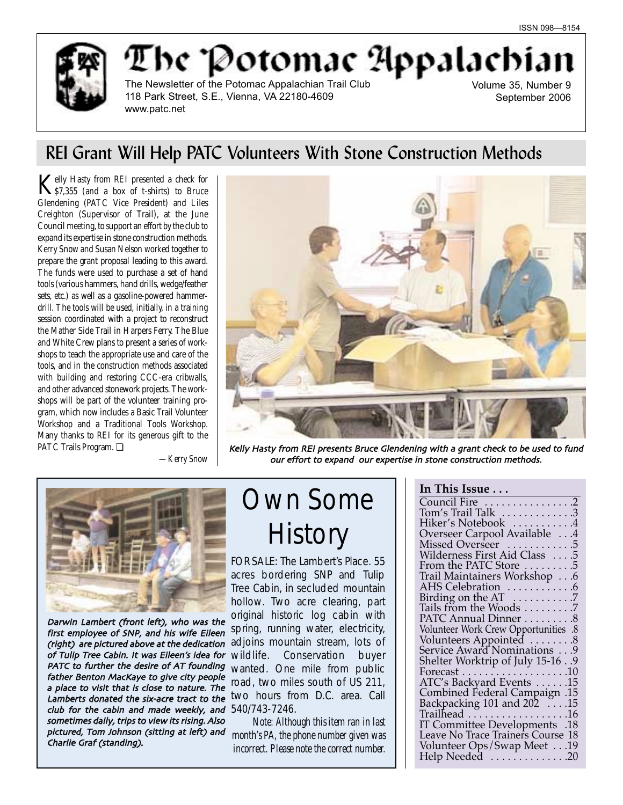

The Potomae Appalachi The Newsletter of the Potomac Appalachian Trail Club 118 Park Street, S.E., Vienna, VA 22180-4609

Volume 35, Number 9 September 2006

# REI Grant Will Help PATC Volunteers With Stone Construction Methods

Kelly Hasty from REI presented a check for<br>\$7,355 (and a box of t-shirts) to Bruce Glendening (PATC Vice President) and Liles Creighton (Supervisor of Trail), at the June Council meeting, to support an effort by the club to expand its expertise in stone construction methods. Kerry Snow and Susan Nelson worked together to prepare the grant proposal leading to this award. The funds were used to purchase a set of hand tools (various hammers, hand drills, wedge/feather sets, etc.) as well as a gasoline-powered hammerdrill. The tools will be used, initially, in a training session coordinated with a project to reconstruct the Mather Side Trail in Harpers Ferry. The Blue and White Crew plans to present a series of workshops to teach the appropriate use and care of the tools, and in the construction methods associated with building and restoring CCC-era cribwalls, and other advanced stonework projects. The workshops will be part of the volunteer training program, which now includes a Basic Trail Volunteer Workshop and a Traditional Tools Workshop. Many thanks to REI for its generous gift to the PATC Trails Program. ❏

www.patc.net

*—Kerry Snow*



Kelly Hasty from REI presents Bruce Glendening with a grant check to be used to fund our effort to expand our expertise in stone construction methods.



**PATC to further the desire of AT founding** wanted. One mile from public **Lamberts donated the six-acre tract to the UVO hours from D.C. area. Call** club for the cabin and made weekly, and  $540/743-7246$ . pictured, Tom Johnson (sitting at left) and woonth's PA, the phone number given was<br>Charlie Graf (standing) Darwin Lambert (front left), who was the first employee of SNP, and his wife Eileen (right) are pictured above at the dedication of Tulip Tree Cabin. It was Eileen's idea for wildlife. father Benton MacKaye to give city people a place to visit that is close to nature. The sometimes daily, trips to view its rising. Also Charlie Graf (standing)

# Own Some **History**

FOR SALE: The Lambert's Place. 55 acres bordering SNP and Tulip Tree Cabin, in secluded mountain hollow. Two acre clearing, part original historic log cabin with spring, running water, electricity, adjoins mountain stream, lots of Conservation buyer road, two miles south of US 211,

*Note: Although this item ran in last incorrect. Please note the correct number.*

## **In This Issue . . .**

| Council Fire 2                                        |     |
|-------------------------------------------------------|-----|
| Tom's Trail Talk 3                                    |     |
| Hiker's Notebook 4                                    |     |
| Overseer Carpool Available 4                          |     |
| Missed Overseer 5                                     |     |
| Wilderness First Aid Class 5                          |     |
| From the PATC Store 5                                 |     |
| Trail Maintainers Workshop 6                          |     |
| AHS Celebration 6                                     |     |
| Birding on the AT 7                                   |     |
| Tails from the Woods 7                                |     |
| PATC Annual Dinner 8                                  |     |
| Volunteer Work Crew Opportunities .8                  |     |
| Volunteers Appointed 8<br>Service Award Nominations 9 |     |
|                                                       |     |
| Shelter Worktrip of July 15-16 9                      |     |
|                                                       |     |
| ATC's Backyard Events 15                              |     |
| 15. Combined Federal Campaign                         |     |
|                                                       |     |
| Backpacking 101 and 202 15<br>Trailhead 16            |     |
| <b>IT Committee Developments</b>                      | .18 |
| Leave No Trace Trainers Course 18                     |     |
| Volunteer Ops/Swap Meet19                             |     |
| Help Needed 20                                        |     |
|                                                       |     |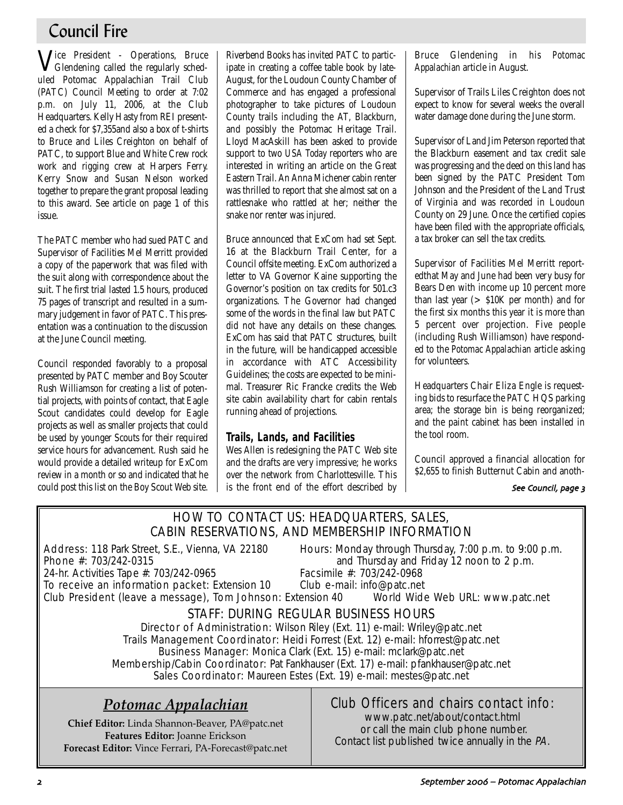# Council Fire

Vice President - Operations, Bruce Glendening called the regularly scheduled Potomac Appalachian Trail Club (PATC) Council Meeting to order at 7:02 p.m. on July 11, 2006, at the Club Headquarters. Kelly Hasty from REI presented a check for \$7,355and also a box of t-shirts to Bruce and Liles Creighton on behalf of PATC, to support Blue and White Crew rock work and rigging crew at Harpers Ferry. Kerry Snow and Susan Nelson worked together to prepare the grant proposal leading to this award. See article on page 1 of this issue.

The PATC member who had sued PATC and Supervisor of Facilities Mel Merritt provided a copy of the paperwork that was filed with the suit along with correspondence about the suit. The first trial lasted 1.5 hours, produced 75 pages of transcript and resulted in a summary judgement in favor of PATC. This presentation was a continuation to the discussion at the June Council meeting.

Council responded favorably to a proposal presented by PATC member and Boy Scouter Rush Williamson for creating a list of potential projects, with points of contact, that Eagle Scout candidates could develop for Eagle projects as well as smaller projects that could be used by younger Scouts for their required service hours for advancement. Rush said he would provide a detailed writeup for ExCom review in a month or so and indicated that he could post this list on the Boy Scout Web site. Riverbend Books has invited PATC to participate in creating a coffee table book by late-August, for the Loudoun County Chamber of Commerce and has engaged a professional photographer to take pictures of Loudoun County trails including the AT, Blackburn, and possibly the Potomac Heritage Trail. Lloyd MacAskill has been asked to provide support to two *USA Today* reporters who are interested in writing an article on the Great Eastern Trail. An Anna Michener cabin renter was thrilled to report that she almost sat on a rattlesnake who rattled at her; neither the snake nor renter was injured.

Bruce announced that ExCom had set Sept. 16 at the Blackburn Trail Center, for a Council offsite meeting. ExCom authorized a letter to VA Governor Kaine supporting the Governor's position on tax credits for 501.c3 organizations. The Governor had changed some of the words in the final law but PATC did not have any details on these changes. ExCom has said that PATC structures, built in the future, will be handicapped accessible in accordance with ATC Accessibility Guidelines; the costs are expected to be minimal. Treasurer Ric Francke credits the Web site cabin availability chart for cabin rentals running ahead of projections.

# **Trails, Lands, and Facilities**

Wes Allen is redesigning the PATC Web site and the drafts are very impressive; he works over the network from Charlottesville. This is the front end of the effort described by Bruce Glendening in his *Potomac Appalachian* article in August.

Supervisor of Trails Liles Creighton does not expect to know for several weeks the overall water damage done during the June storm.

Supervisor of Land Jim Peterson reported that the Blackburn easement and tax credit sale was progressing and the deed on this land has been signed by the PATC President Tom Johnson and the President of the Land Trust of Virginia and was recorded in Loudoun County on 29 June. Once the certified copies have been filed with the appropriate officials, a tax broker can sell the tax credits.

Supervisor of Facilities Mel Merritt reportedthat May and June had been very busy for Bears Den with income up 10 percent more than last year (> \$10K per month) and for the first six months this year it is more than 5 percent over projection. Five people (including Rush Williamson) have responded to the *Potomac Appalachian* article asking for volunteers.

Headquarters Chair Eliza Engle is requesting bids to resurface the PATC HQS parking area; the storage bin is being reorganized; and the paint cabinet has been installed in the tool room.

Council approved a financial allocation for \$2,655 to finish Butternut Cabin and anoth-

See Council, page 3

# HOW TO CONTACT US: HEADQUARTERS, SALES, CABIN RESERVATIONS, AND MEMBERSHIP INFORMATION

24-hr. Activities Tape #: 703/242-0965

Address: 118 Park Street, S.E., Vienna, VA 22180 Hours: Monday through Thursday, 7:00 p.m. to 9:00 p.m.<br>Phone #: 703/242-0315 **Phone** #: 703/242-0315 and Thursday and Friday 12 noon to 2 p.m.<br>Facsimile #: 703/242-0968

To receive an information packet: Extension 10 Club e-mail: info@patc.net Club President (leave a message), Tom Johnson: Extension 40 World Wide Web URL: www.patc.net

# STAFF: DURING REGULAR BUSINESS HOURS

Director of Administration: Wilson Riley (Ext. 11) e-mail: Wriley@patc.net Trails Management Coordinator: Heidi Forrest (Ext. 12) e-mail: hforrest@patc.net Business Manager: Monica Clark (Ext. 15) e-mail: mclark@patc.net Membership/Cabin Coordinator: Pat Fankhauser (Ext. 17) e-mail: pfankhauser@patc.net Sales Coordinator: Maureen Estes (Ext. 19) e-mail: mestes@patc.net

# *Potomac Appalachian*

**Chief Editor:** Linda Shannon-Beaver, PA@patc.net **Features Editor:** Joanne Erickson **Forecast Editor:** Vince Ferrari, PA-Forecast@patc.net

# Club Officers and chairs contact info:

www.patc.net/about/contact.html or call the main club phone number. Contact list published twice annually in the PA.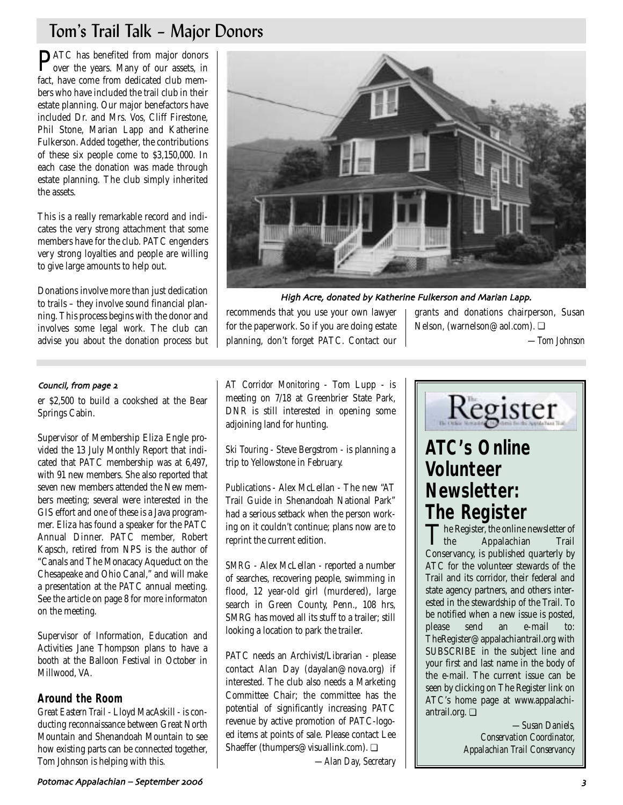# Tom's Trail Talk – Major Donors

**PATC** has benefited from major donors<br>over the years. Many of our assets, in fact, have come from dedicated club members who have included the trail club in their estate planning. Our major benefactors have included Dr. and Mrs. Vos, Cliff Firestone, Phil Stone, Marian Lapp and Katherine Fulkerson. Added together, the contributions of these six people come to \$3,150,000. In each case the donation was made through estate planning. The club simply inherited the assets.

This is a really remarkable record and indicates the very strong attachment that some members have for the club. PATC engenders very strong loyalties and people are willing to give large amounts to help out.

Donations involve more than just dedication to trails – they involve sound financial planning. This process begins with the donor and involves some legal work. The club can advise you about the donation process but



High Acre, donated by Katherine Fulkerson and Marian Lapp.

recommends that you use your own lawyer for the paperwork. So if you are doing estate planning, don't forget PATC. Contact our

grants and donations chairperson, Susan Nelson, (warnelson@aol.com). ❏

*—Tom Johnson*

## Council, from page 2

er \$2,500 to build a cookshed at the Bear Springs Cabin.

Supervisor of Membership Eliza Engle provided the 13 July Monthly Report that indicated that PATC membership was at 6,497, with 91 new members. She also reported that seven new members attended the New members meeting; several were interested in the GIS effort and one of these is a Java programmer. Eliza has found a speaker for the PATC Annual Dinner. PATC member, Robert Kapsch, retired from NPS is the author of "Canals and The Monacacy Aqueduct on the Chesapeake and Ohio Canal," and will make a presentation at the PATC annual meeting. See the article on page 8 for more informaton on the meeting.

Supervisor of Information, Education and Activities Jane Thompson plans to have a booth at the Balloon Festival in October in Millwood, VA.

## **Around the Room**

*Great Eastern Trail* - Lloyd MacAskill - is conducting reconnaissance between Great North Mountain and Shenandoah Mountain to see how existing parts can be connected together, Tom Johnson is helping with this.

*AT Corridor Monitoring* - Tom Lupp - is meeting on 7/18 at Greenbrier State Park, DNR is still interested in opening some adjoining land for hunting.

*Ski Touring* - Steve Bergstrom - is planning a trip to Yellowstone in February.

*Publications* - Alex McLellan - The new "AT Trail Guide in Shenandoah National Park" had a serious setback when the person working on it couldn't continue; plans now are to reprint the current edition.

*SMRG* - Alex McLellan - reported a number of searches, recovering people, swimming in flood, 12 year-old girl (murdered), large search in Green County, Penn., 108 hrs, SMRG has moved all its stuff to a trailer; still looking a location to park the trailer.

PATC needs an Archivist/Librarian - please contact Alan Day (dayalan@nova.org) if interested. The club also needs a Marketing Committee Chair; the committee has the potential of significantly increasing PATC revenue by active promotion of PATC-logoed items at points of sale. Please contact Lee Shaeffer (thumpers@visuallink.com). ❏



# **ATC's Online Volunteer Newsletter: The Register**

The Register, the online newsletter of<br>the Appalachian Trail Appalachian Conservancy, is published quarterly by ATC for the volunteer stewards of the Trail and its corridor, their federal and state agency partners, and others interested in the stewardship of the Trail. To be notified when a new issue is posted,<br>please send an e-mail to: please send an e-mail to: TheRegister@appalachiantrail.org with SUBSCRIBE in the subject line and your first and last name in the body of the e-mail. The current issue can be seen by clicking on The Register link on ATC's home page at www.appalachiantrail.org. ❏

> *—Susan Daniels, Conservation Coordinator, Appalachian Trail Conservancy*

*—Alan Day, Secretary*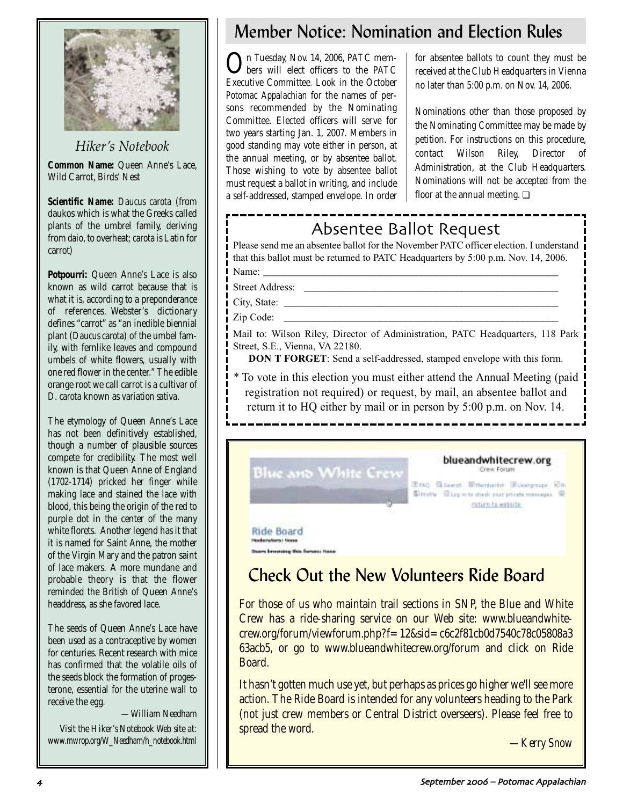

*Hiker's Notebook* **Common Name:** Queen Anne's Lace, Wild Carrot, Birds' Nest

**Scientific Name:** *Daucus carota* (from daukos which is what the Greeks called plants of the umbrel family, deriving from *daio*, to overheat; *carota* is Latin for carrot)

**Potpourri:** Queen Anne's Lace is also known as wild carrot because that is what it is, according to a preponderance of references. Webster's dictionary defines "carrot" as "an inedible biennial plant (*Daucus carota*) of the umbel family, with fernlike leaves and compound umbels of white flowers, usually with one red flower in the center." The edible orange root we call carrot is a cultivar of *D. carota* known as *variation sativa*.

The etymology of Queen Anne's Lace has not been definitively established, though a number of plausible sources compete for credibility. The most well known is that Queen Anne of England (1702-1714) pricked her finger while making lace and stained the lace with blood, this being the origin of the red to purple dot in the center of the many white florets. Another legend has it that it is named for Saint Anne, the mother of the Virgin Mary and the patron saint of lace makers. A more mundane and probable theory is that the flower reminded the British of Queen Anne's headdress, as she favored lace.

The seeds of Queen Anne's Lace have been used as a contraceptive by women for centuries. Recent research with mice has confirmed that the volatile oils of the seeds block the formation of progesterone, essential for the uterine wall to receive the egg.

*—William Needham*

*Visit the Hiker's Notebook Web site at: www.mwrop.org/W\_Needham/h\_notebook.html*

# Member Notice: Nomination and Election Rules

On Tuesday, Nov. 14, 2006, PATC members will elect officers to the PATC Executive Committee. Look in the October *Potomac Appalachian* for the names of persons recommended by the Nominating Committee. Elected officers will serve for two years starting Jan. 1, 2007. Members in good standing may vote either in person, at the annual meeting, or by absentee ballot. Those wishing to vote by absentee ballot must request a ballot in writing, and include a self-addressed, stamped envelope. In order

for absentee ballots to count they must be received at the Club Headquarters in Vienna no later than 5:00 p.m. on Nov. 14, 2006.

Nominations other than those proposed by the Nominating Committee may be made by petition. For instructions on this procedure, contact Wilson Riley, Director of Administration, at the Club Headquarters. Nominations will not be accepted from the floor at the annual meeting.  $\Box$ 

# Absentee Ballot Request

Please send me an absentee ballot for the November PATC officer election. I understand that this ballot must be returned to PATC Headquarters by 5:00 p.m. Nov. 14, 2006.

Name: \_\_\_\_\_\_\_\_\_\_\_\_\_\_\_\_\_\_\_\_\_\_\_\_\_\_\_\_\_\_\_\_\_\_\_\_\_\_\_\_\_\_\_\_\_\_\_\_\_\_\_\_\_\_\_\_\_\_

Street Address:

City, State:

Zip Code:

Mail to: Wilson Riley, Director of Administration, PATC Headquarters, 118 Park Street, S.E., Vienna, VA 22180.

**DON T FORGET**: Send a self-addressed, stamped envelope with this form.

\* To vote in this election you must either attend the Annual Meeting (paid registration not required) or request, by mail, an absentee ballot and return it to HQ either by mail or in person by 5:00 p.m. on Nov. 14.



# Check Out the New Volunteers Ride Board

For those of us who maintain trail sections in SNP, the Blue and White Crew has a ride-sharing service on our Web site: www.blueandwhitecrew.org/forum/viewforum.php?f=12&sid=c6c2f81cb0d7540c78c05808a3 63acb5, or go to www.blueandwhitecrew.org/forum and click on Ride Board.

It hasn't gotten much use yet, but perhaps as prices go higher we'll see more action. The Ride Board is intended for any volunteers heading to the Park (not just crew members or Central District overseers). Please feel free to spread the word.

*—Kerry Snow*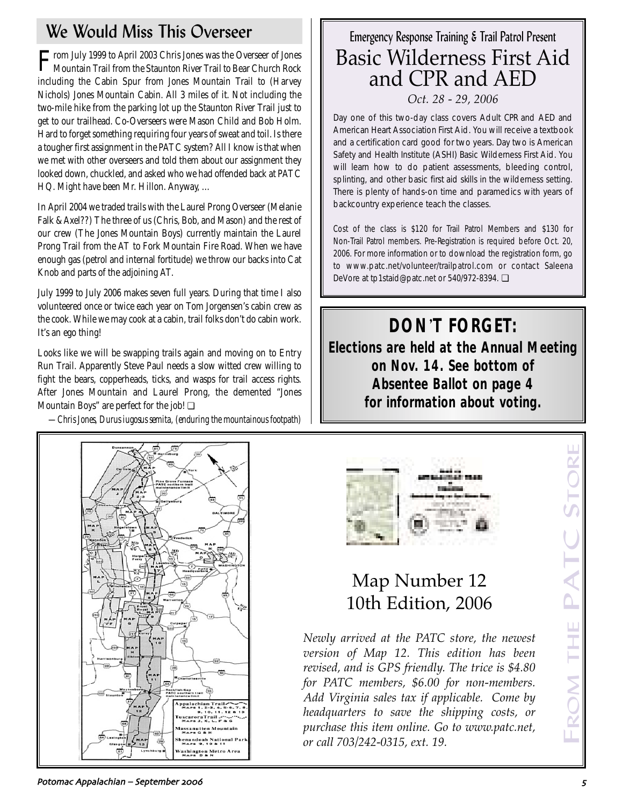# We Would Miss This Overseer

From July 1999 to April 2003 Chris Jones was the Overseer of Jones Mountain Trail from the Staunton River Trail to Bear Church Rock including the Cabin Spur from Jones Mountain Trail to (Harvey Nichols) Jones Mountain Cabin. All 3 miles of it. Not including the two-mile hike from the parking lot up the Staunton River Trail just to get to our trailhead. Co-Overseers were Mason Child and Bob Holm. Hard to forget something requiring four years of sweat and toil. Is there a tougher first assignment in the PATC system? All I know is that when we met with other overseers and told them about our assignment they looked down, chuckled, and asked who we had offended back at PATC HQ. Might have been Mr. Hillon. Anyway, …

In April 2004 we traded trails with the Laurel Prong Overseer (Melanie Falk & Axel??) The three of us (Chris, Bob, and Mason) and the rest of our crew (The Jones Mountain Boys) currently maintain the Laurel Prong Trail from the AT to Fork Mountain Fire Road. When we have enough gas (petrol and internal fortitude) we throw our backs into Cat Knob and parts of the adjoining AT.

July 1999 to July 2006 makes seven full years. During that time I also volunteered once or twice each year on Tom Jorgensen's cabin crew as the cook. While we may cook at a cabin, trail folks don't do cabin work. It's an ego thing!

Looks like we will be swapping trails again and moving on to Entry Run Trail. Apparently Steve Paul needs a slow witted crew willing to fight the bears, copperheads, ticks, and wasps for trail access rights. After Jones Mountain and Laurel Prong, the demented "Jones Mountain Boys" are perfect for the job! ❏

*—Chris Jones, Durus iugosus semita, (enduring the mountainous footpath)*



Day one of this two-day class covers Adult CPR and AED and American Heart Association First Aid. You will receive a textbook and a certification card good for two years. Day two is American Safety and Health Institute (ASHI) Basic Wilderness First Aid. You will learn how to do patient assessments, bleeding control, splinting, and other basic first aid skills in the wilderness setting. There is plenty of hands-on time and paramedics with years of backcountry experience teach the classes.

Cost of the class is \$120 for Trail Patrol Members and \$130 for Non-Trail Patrol members. Pre-Registration is required before Oct. 20, 2006. For more information or to download the registration form, go to www.patc.net/volunteer/trailpatrol.com or contact Saleena DeVore at tp1staid@patc.net or 540/972-8394. ❏

**DON**'**T FORGET: Elections are held at the Annual Meeting on Nov. 14. See bottom of Absentee Ballot on page 4 for information about voting.**





# Map Number 12 10th Edition, 2006

*Newly arrived at the PATC store, the newest version of Map 12. This edition has been revised, and is GPS friendly. The trice is \$4.80 for PATC members, \$6.00 for non-members. Add Virginia sales tax if applicable. Come by headquarters to save the shipping costs, or purchase this item online. Go to www.patc.net, or call 703/242-0315, ext. 19.*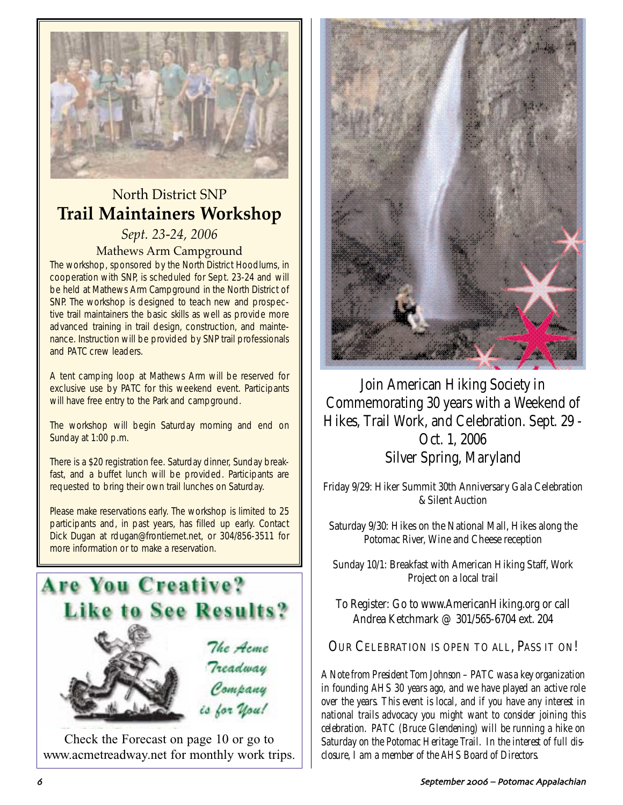

# North District SNP **Trail Maintainers Workshop**

*Sept. 23-24, 2006* Mathews Arm Campground

The workshop, sponsored by the North District Hoodlums, in cooperation with SNP, is scheduled for Sept. 23-24 and will be held at Mathews Arm Campground in the North District of SNP. The workshop is designed to teach new and prospective trail maintainers the basic skills as well as provide more advanced training in trail design, construction, and maintenance. Instruction will be provided by SNP trail professionals and PATC crew leaders.

A tent camping loop at Mathews Arm will be reserved for exclusive use by PATC for this weekend event. Participants will have free entry to the Park and campground.

The workshop will begin Saturday morning and end on Sunday at 1:00 p.m.

There is a \$20 registration fee. Saturday dinner, Sunday breakfast, and a buffet lunch will be provided. Participants are requested to bring their own trail lunches on Saturday.

Please make reservations early. The workshop is limited to 25 participants and, in past years, has filled up early. Contact Dick Dugan at rdugan@frontiernet.net, or 304/856-3511 for more information or to make a reservation.



Check the Forecast on page 10 or go to www.acmetreadway.net for monthly work trips.



Join American Hiking Society in Commemorating 30 years with a Weekend of Hikes, Trail Work, and Celebration. Sept. 29 - Oct. 1, 2006 Silver Spring, Maryland

Friday 9/29: Hiker Summit 30th Anniversary Gala Celebration & Silent Auction

Saturday 9/30: Hikes on the National Mall, Hikes along the Potomac River, Wine and Cheese reception

Sunday 10/1: Breakfast with American Hiking Staff, Work Project on a local trail

To Register: Go to www.AmericanHiking.org or call Andrea Ketchmark @ 301/565-6704 ext. 204

OUR CELEBRATION IS OPEN TO ALL, PASS IT ON!

*A Note from President Tom Johnson – PATC was a key organization in founding AHS 30 years ago, and we have played an active role over the years. This event is local, and if you have any interest in national trails advocacy you might want to consider joining this celebration. PATC (Bruce Glendening) will be running a hike on Saturday on the Potomac Heritage Trail. In the interest of full disclosure, I am a member of the AHS Board of Directors.*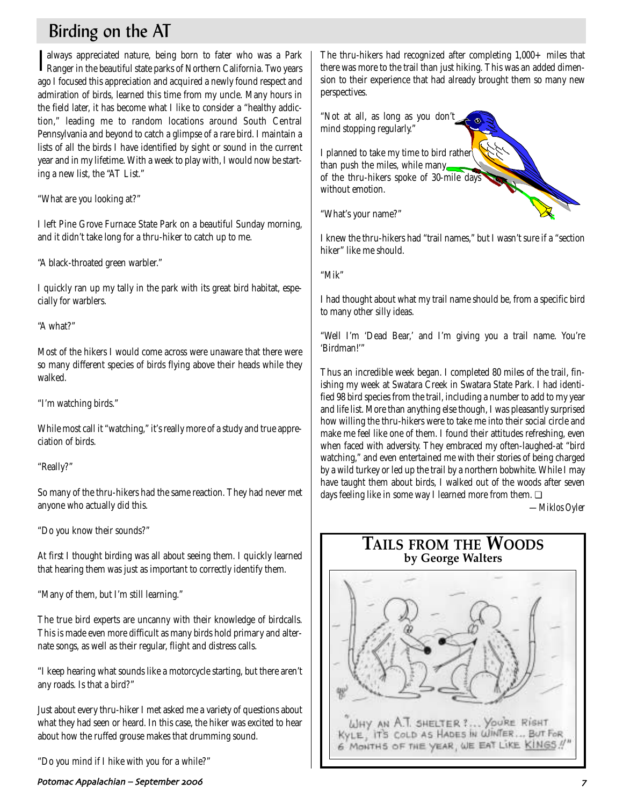# Birding on the AT

I always appreciated nature, being born to fater who was a Park<br>Ranger in the beautiful state parks of Northern California. Two years always appreciated nature, being born to fater who was a Park ago I focused this appreciation and acquired a newly found respect and admiration of birds, learned this time from my uncle. Many hours in the field later, it has become what I like to consider a "healthy addiction," leading me to random locations around South Central Pennsylvania and beyond to catch a glimpse of a rare bird. I maintain a lists of all the birds I have identified by sight or sound in the current year and in my lifetime. With a week to play with, I would now be starting a new list, the "AT List."

"What are you looking at?"

I left Pine Grove Furnace State Park on a beautiful Sunday morning, and it didn't take long for a thru-hiker to catch up to me.

"A black-throated green warbler."

I quickly ran up my tally in the park with its great bird habitat, especially for warblers.

"A what?"

Most of the hikers I would come across were unaware that there were so many different species of birds flying above their heads while they walked.

"I'm watching birds."

While most call it "watching," it's really more of a study and true appreciation of birds.

"Really?"

So many of the thru-hikers had the same reaction. They had never met anyone who actually did this.

"Do you know their sounds?"

At first I thought birding was all about seeing them. I quickly learned that hearing them was just as important to correctly identify them.

"Many of them, but I'm still learning."

The true bird experts are uncanny with their knowledge of birdcalls. This is made even more difficult as many birds hold primary and alternate songs, as well as their regular, flight and distress calls.

"I keep hearing what sounds like a motorcycle starting, but there aren't any roads. Is that a bird?"

Just about every thru-hiker I met asked me a variety of questions about what they had seen or heard. In this case, the hiker was excited to hear about how the ruffed grouse makes that drumming sound.

"Do you mind if I hike with you for a while?"

Potomac Appalachian – September 2006 – Potomac September 2006 – Potomac September 2011 – Potomac Appalachian – September 2006 – Potomac September 2007 – Potomac September 2007 – Potomac September 2007 – Potomac September 2

The thru-hikers had recognized after completing 1,000+ miles that there was more to the trail than just hiking. This was an added dimension to their experience that had already brought them so many new perspectives.

"Not at all, as long as you don't mind stopping regularly." I planned to take my time to bird rather than push the miles, while many

of the thru-hikers spoke of 30-mile days

"What's your name?"

without emotion.

I knew the thru-hikers had "trail names," but I wasn't sure if a "section hiker" like me should.

"Mik"

I had thought about what my trail name should be, from a specific bird to many other silly ideas.

"Well I'm 'Dead Bear,' and I'm giving you a trail name. You're 'Birdman!'"

Thus an incredible week began. I completed 80 miles of the trail, finishing my week at Swatara Creek in Swatara State Park. I had identified 98 bird species from the trail, including a number to add to my year and life list. More than anything else though, I was pleasantly surprised how willing the thru-hikers were to take me into their social circle and make me feel like one of them. I found their attitudes refreshing, even when faced with adversity. They embraced my often-laughed-at "bird watching," and even entertained me with their stories of being charged by a wild turkey or led up the trail by a northern bobwhite. While I may have taught them about birds, I walked out of the woods after seven days feeling like in some way I learned more from them. □

*—Miklos Oyler*

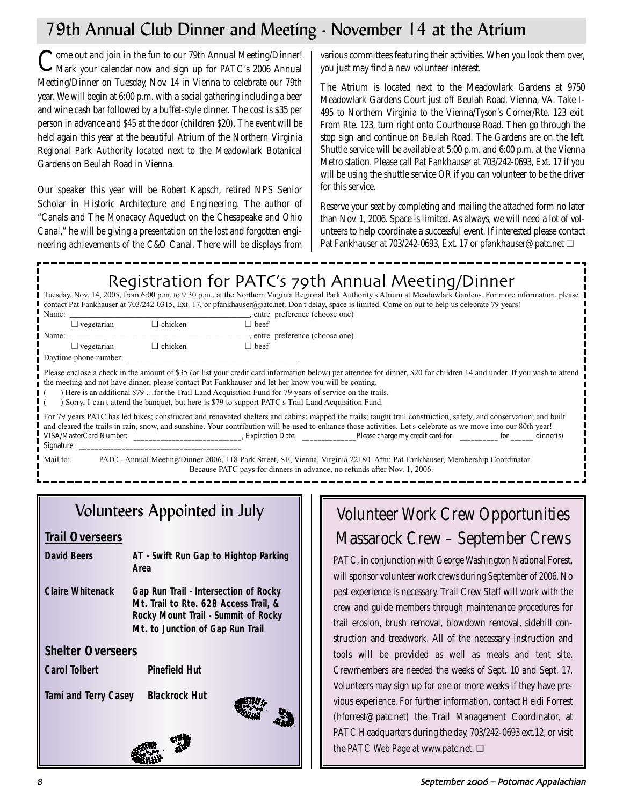# 79th Annual Club Dinner and Meeting - November 14 at the Atrium

Come out and join in the fun to our 79th Annual Meeting/Dinner!<br>Mark your calendar now and sign up for PATC's 2006 Annual Meeting/Dinner on Tuesday, Nov. 14 in Vienna to celebrate our 79th year. We will begin at 6:00 p.m. with a social gathering including a beer and wine cash bar followed by a buffet-style dinner. The cost is \$35 per person in advance and \$45 at the door (children \$20). The event will be held again this year at the beautiful Atrium of the Northern Virginia Regional Park Authority located next to the Meadowlark Botanical Gardens on Beulah Road in Vienna.

Our speaker this year will be Robert Kapsch, retired NPS Senior Scholar in Historic Architecture and Engineering. The author of "Canals and The Monacacy Aqueduct on the Chesapeake and Ohio Canal," he will be giving a presentation on the lost and forgotten engineering achievements of the C&O Canal. There will be displays from

various committees featuring their activities. When you look them over, you just may find a new volunteer interest.

The Atrium is located next to the Meadowlark Gardens at 9750 Meadowlark Gardens Court just off Beulah Road, Vienna, VA. Take I-495 to Northern Virginia to the Vienna/Tyson's Corner/Rte. 123 exit. From Rte. 123, turn right onto Courthouse Road. Then go through the stop sign and continue on Beulah Road. The Gardens are on the left. Shuttle service will be available at 5:00 p.m. and 6:00 p.m. at the Vienna Metro station. Please call Pat Fankhauser at 703/242-0693, Ext. 17 if you will be using the shuttle service OR if you can volunteer to be the driver for this service.

Reserve your seat by completing and mailing the attached form no later than Nov. 1, 2006. Space is limited. As always, we will need a lot of volunteers to help coordinate a successful event. If interested please contact Pat Fankhauser at 703/242-0693, Ext. 17 or pfankhauser@patc.net ❏

# Registration for PATC's 79th Annual Meeting/Dinner

Tuesday, Nov. 14, 2005, from 6:00 p.m. to 9:30 p.m., at the Northern Virginia Regional Park Authority s Atrium at Meadowlark Gardens. For more information, please contact Pat Fankhauser at 703/242-0315, Ext. 17, or pfankhauser@patc.net. Don t delay, space is limited. Come on out to help us celebrate 79 years!

| Name:                                                                                                                                                                                                                                                                                                                                                                                                                                                                                          |                                                                                                                                                                                                                                                                                                                                                                                                                      |                | entre preference (choose one)   |                                                                                                                             |  |  |  |
|------------------------------------------------------------------------------------------------------------------------------------------------------------------------------------------------------------------------------------------------------------------------------------------------------------------------------------------------------------------------------------------------------------------------------------------------------------------------------------------------|----------------------------------------------------------------------------------------------------------------------------------------------------------------------------------------------------------------------------------------------------------------------------------------------------------------------------------------------------------------------------------------------------------------------|----------------|---------------------------------|-----------------------------------------------------------------------------------------------------------------------------|--|--|--|
|                                                                                                                                                                                                                                                                                                                                                                                                                                                                                                | $\Box$ vegetarian                                                                                                                                                                                                                                                                                                                                                                                                    | $\Box$ chicken | $\Box$ beef                     |                                                                                                                             |  |  |  |
| Name:                                                                                                                                                                                                                                                                                                                                                                                                                                                                                          |                                                                                                                                                                                                                                                                                                                                                                                                                      |                | , entre preference (choose one) |                                                                                                                             |  |  |  |
|                                                                                                                                                                                                                                                                                                                                                                                                                                                                                                | $\Box$ vegetarian                                                                                                                                                                                                                                                                                                                                                                                                    | $\Box$ chicken | $\Box$ beef                     |                                                                                                                             |  |  |  |
| Daytime phone number:                                                                                                                                                                                                                                                                                                                                                                                                                                                                          |                                                                                                                                                                                                                                                                                                                                                                                                                      |                |                                 |                                                                                                                             |  |  |  |
| Please enclose a check in the amount of \$35 (or list your credit card information below) per attendee for dinner, \$20 for children 14 and under. If you wish to attend<br>the meeting and not have dinner, please contact Pat Fankhauser and let her know you will be coming.<br>Here is an additional \$79 for the Trail Land Acquisition Fund for 79 years of service on the trails.<br>Sorry, I can t attend the banquet, but here is \$79 to support PATC s Trail Land Acquisition Fund. |                                                                                                                                                                                                                                                                                                                                                                                                                      |                |                                 |                                                                                                                             |  |  |  |
| For 79 years PATC has led hikes; constructed and renovated shelters and cabins; mapped the trails; taught trail construction, safety, and conservation; and built                                                                                                                                                                                                                                                                                                                              |                                                                                                                                                                                                                                                                                                                                                                                                                      |                |                                 |                                                                                                                             |  |  |  |
| and cleared the trails in rain, snow, and sunshine. Your contribution will be used to enhance those activities. Let s celebrate as we move into our 80th year!                                                                                                                                                                                                                                                                                                                                 |                                                                                                                                                                                                                                                                                                                                                                                                                      |                |                                 |                                                                                                                             |  |  |  |
|                                                                                                                                                                                                                                                                                                                                                                                                                                                                                                |                                                                                                                                                                                                                                                                                                                                                                                                                      |                |                                 |                                                                                                                             |  |  |  |
|                                                                                                                                                                                                                                                                                                                                                                                                                                                                                                | Signature: $\frac{1}{\sqrt{1-\frac{1}{2}}}\frac{1}{\sqrt{1-\frac{1}{2}}}\frac{1}{\sqrt{1-\frac{1}{2}}}\frac{1}{\sqrt{1-\frac{1}{2}}}\frac{1}{\sqrt{1-\frac{1}{2}}}\frac{1}{\sqrt{1-\frac{1}{2}}}\frac{1}{\sqrt{1-\frac{1}{2}}}\frac{1}{\sqrt{1-\frac{1}{2}}}\frac{1}{\sqrt{1-\frac{1}{2}}}\frac{1}{\sqrt{1-\frac{1}{2}}}\frac{1}{\sqrt{1-\frac{1}{2}}}\frac{1}{\sqrt{1-\frac{1}{2}}}\frac{1}{\sqrt{1-\frac{1}{2}}}\$ |                |                                 |                                                                                                                             |  |  |  |
| Mail to:                                                                                                                                                                                                                                                                                                                                                                                                                                                                                       |                                                                                                                                                                                                                                                                                                                                                                                                                      |                |                                 | PATC - Annual Meeting/Dinner 2006, 118 Park Street, SE, Vienna, Virginia 22180 Attn: Pat Fankhauser, Membership Coordinator |  |  |  |

Because PATC pays for dinners in advance, no refunds after Nov. 1, 2006.

# Volunteers Appointed in July

# **Trail Overseers**

- **David Beers AT Swift Run Gap to Hightop Parking Area Claire Whitenack Gap Run Trail - Intersection of Rocky**
- **Mt. Trail to Rte. 628 Access Trail, & Rocky Mount Trail - Summit of Rocky Mt. to Junction of Gap Run Trail**

# **Shelter Overseers**

**Carol Tolbert Pinefield Hut**

**Tami and Terry Casey Blackrock Hut**



# Volunteer Work Crew Opportunities Massarock Crew – September Crews

PATC, in conjunction with George Washington National Forest, will sponsor volunteer work crews during September of 2006. No past experience is necessary. Trail Crew Staff will work with the crew and guide members through maintenance procedures for trail erosion, brush removal, blowdown removal, sidehill construction and treadwork. All of the necessary instruction and tools will be provided as well as meals and tent site. Crewmembers are needed the weeks of Sept. 10 and Sept. 17. Volunteers may sign up for one or more weeks if they have previous experience. For further information, contact Heidi Forrest (hforrest@patc.net) the Trail Management Coordinator, at PATC Headquarters during the day, 703/242-0693 ext.12, or visit the PATC Web Page at www.patc.net. ❏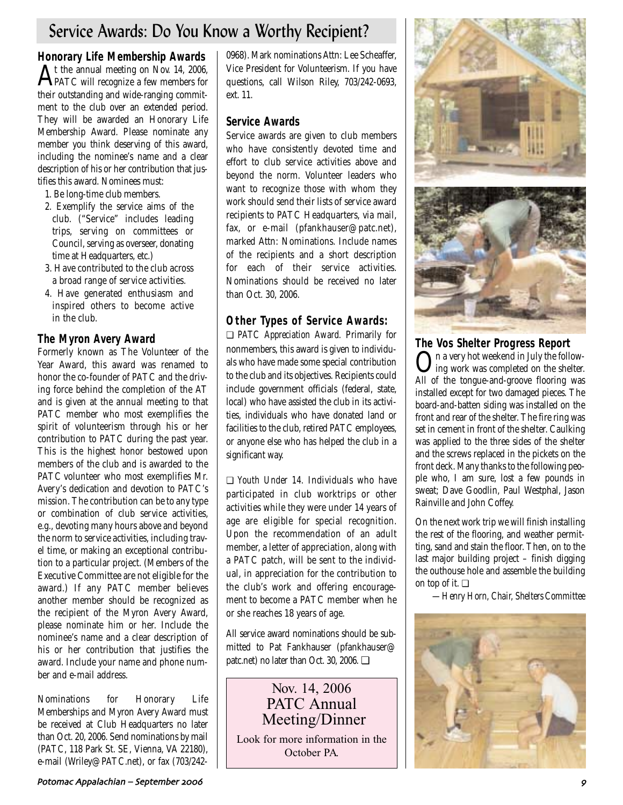# Service Awards: Do You Know a Worthy Recipient?

**Honorary Life Membership Awards** 

At the annual meeting on Nov. 14, 2006, PATC will recognize a few members for their outstanding and wide-ranging commitment to the club over an extended period. They will be awarded an Honorary Life Membership Award. Please nominate any member you think deserving of this award, including the nominee's name and a clear description of his or her contribution that justifies this award. Nominees must:

- 1. Be long-time club members.
- 2. Exemplify the service aims of the club. ("Service" includes leading trips, serving on committees or Council, serving as overseer, donating time at Headquarters, etc.)
- 3. Have contributed to the club across a broad range of service activities.
- 4. Have generated enthusiasm and inspired others to become active in the club.

# **The Myron Avery Award**

Formerly known as The Volunteer of the Year Award, this award was renamed to honor the co-founder of PATC and the driving force behind the completion of the AT and is given at the annual meeting to that PATC member who most exemplifies the spirit of volunteerism through his or her contribution to PATC during the past year. This is the highest honor bestowed upon members of the club and is awarded to the PATC volunteer who most exemplifies Mr. Avery's dedication and devotion to PATC's mission. The contribution can be to any type or combination of club service activities, e.g., devoting many hours above and beyond the norm to service activities, including travel time, or making an exceptional contribution to a particular project. (Members of the Executive Committee are not eligible for the award.) If any PATC member believes another member should be recognized as the recipient of the Myron Avery Award, please nominate him or her. Include the nominee's name and a clear description of his or her contribution that justifies the award. Include your name and phone number and e-mail address.

Nominations for Honorary Life Memberships and Myron Avery Award must be received at Club Headquarters no later than Oct. 20, 2006. Send nominations by mail (PATC, 118 Park St. SE, Vienna, VA 22180), e-mail (Wriley@PATC.net), or fax (703/2420968). Mark nominations Attn: Lee Scheaffer, Vice President for Volunteerism. If you have questions, call Wilson Riley, 703/242-0693, ext. 11.

# **Service Awards**

Service awards are given to club members who have consistently devoted time and effort to club service activities above and beyond the norm. Volunteer leaders who want to recognize those with whom they work should send their lists of service award recipients to PATC Headquarters, via mail, fax, or e-mail (pfankhauser@patc.net), marked Attn: Nominations. Include names of the recipients and a short description for each of their service activities. Nominations should be received no later than Oct. 30, 2006.

# **Other Types of Service Awards:**

❏ *PATC Appreciation Award.* Primarily for nonmembers, this award is given to individuals who have made some special contribution to the club and its objectives. Recipients could include government officials (federal, state, local) who have assisted the club in its activities, individuals who have donated land or facilities to the club, retired PATC employees, or anyone else who has helped the club in a significant way.

❏ *Youth Under 14.* Individuals who have participated in club worktrips or other activities while they were under 14 years of age are eligible for special recognition. Upon the recommendation of an adult member, a letter of appreciation, along with a PATC patch, will be sent to the individual, in appreciation for the contribution to the club's work and offering encouragement to become a PATC member when he or she reaches 18 years of age.

All service award nominations should be submitted to Pat Fankhauser (pfankhauser@ patc.net) no later than Oct. 30, 2006. ❏

# Nov. 14, 2006 PATC Annual Meeting/Dinner

Look for more information in the October PA.



**The Vos Shelter Progress Report**  On a very hot weekend in July the follow-ing work was completed on the shelter. All of the tongue-and-groove flooring was installed except for two damaged pieces. The board-and-batten siding was installed on the front and rear of the shelter. The fire ring was set in cement in front of the shelter. Caulking was applied to the three sides of the shelter and the screws replaced in the pickets on the front deck. Many thanks to the following people who, I am sure, lost a few pounds in sweat; Dave Goodlin, Paul Westphal, Jason Rainville and John Coffey.

On the next work trip we will finish installing the rest of the flooring, and weather permitting, sand and stain the floor. Then, on to the last major building project – finish digging the outhouse hole and assemble the building on top of it. ❏

*—Henry Horn, Chair, Shelters Committee*

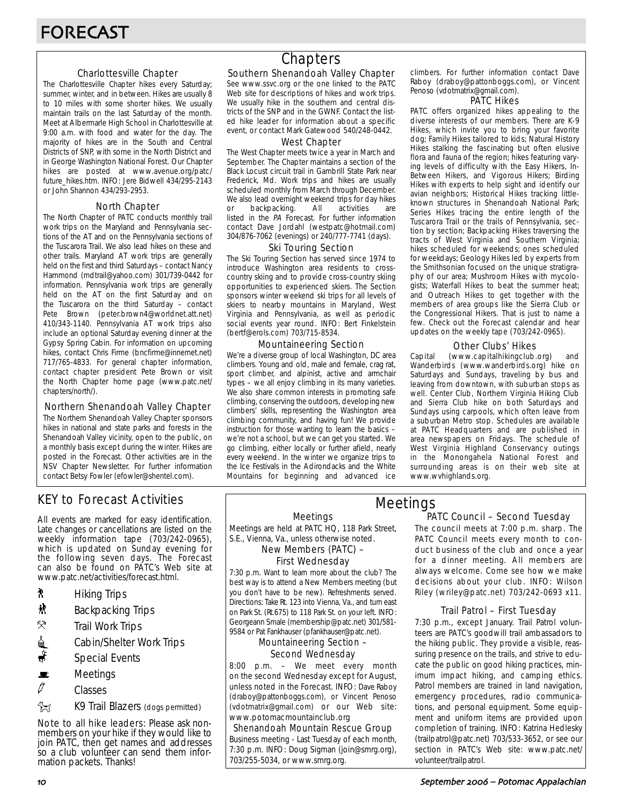## Charlottesville Chapter

The Charlottesville Chapter hikes every Saturday; summer, winter, and in between. Hikes are usually 8 to 10 miles with some shorter hikes. We usually maintain trails on the last Saturday of the month. Meet at Albermarle High School in Charlottesville at 9:00 a.m. with food and water for the day. The majority of hikes are in the South and Central Districts of SNP, with some in the North District and in George Washington National Forest. Our Chapter hikes are posted at www.avenue.org/patc/ future\_hikes.htm. INFO: Jere Bidwell 434/295-2143 or John Shannon 434/293-2953.

## North Chapter

The North Chapter of PATC conducts monthly trail work trips on the Maryland and Pennsylvania sections of the AT and on the Pennsylvania sections of the Tuscarora Trail. We also lead hikes on these and other trails. Maryland AT work trips are generally held on the first and third Saturdays – contact Nancy Hammond (mdtrail@yahoo.com) 301/739-0442 for information. Pennsylvania work trips are generally held on the AT on the first Saturday and on the Tuscarora on the third Saturday – contact Pete Brown (peter.brown4@worldnet.att.net) 410/343-1140. Pennsylvania AT work trips also include an optional Saturday evening dinner at the Gypsy Spring Cabin. For information on upcoming hikes, contact Chris Firme (bncfirme@innernet.net) 717/765-4833. For general chapter information, contact chapter president Pete Brown or visit the North Chapter home page (www.patc.net/ chapters/north/).

## Northern Shenandoah Valley Chapter

The Northern Shenandoah Valley Chapter sponsors hikes in national and state parks and forests in the Shenandoah Valley vicinity, open to the public, on a monthly basis except during the winter. Hikes are posted in the Forecast. Other activities are in the NSV Chapter Newsletter. For further information contact Betsy Fowler (efowler@shentel.com).

# KEY to Forecast Activities

All events are marked for easy identification. Late changes or cancellations are listed on the weekly information tape (703/242-0965), which is updated on Sunday evening for the following seven days. The Forecast can also be found on PATC's Web site at www.patc.net/activities/forecast.html.

- **A** Hiking Trips
- $\mathbf{\ddot{x}}$  Backpacking Trips
- $\mathcal{R}$  Trail Work Trips
- <u>d</u> Cabin/Shelter Work Trips
- $\ddot{\bullet}$  Special Events
- $\mathbf{E}$  Meetings
- $\mathscr O$  Classes
- **EX** K9 Trail Blazers (dogs permitted)

Note to all hike leaders: Please ask nonmembers on your hike if they would like to join PATC, then get names and addresses so a club volunteer can send them information packets. Thanks!

# **Chapters**

## Southern Shenandoah Valley Chapter

See www.ssvc.org or the one linked to the PATC Web site for descriptions of hikes and work trips. We usually hike in the southern and central districts of the SNP and in the GWNF. Contact the listed hike leader for information about a specific event, or contact Mark Gatewood 540/248-0442.

#### West Chapter

The West Chapter meets twice a year in March and September. The Chapter maintains a section of the Black Locust circuit trail in Gambrill State Park near Frederick, Md. Work trips and hikes are usually scheduled monthly from March through December. We also lead overnight weekend trips for day hikes or backpacking. All activities are listed in the PA Forecast. For further information contact Dave Jordahl (westpatc@hotmail.com) 304/876-7062 (evenings) or 240/777-7741 (days).

#### Ski Touring Section

The Ski Touring Section has served since 1974 to introduce Washington area residents to crosscountry skiing and to provide cross-country skiing opportunities to experienced skiers. The Section sponsors winter weekend ski trips for all levels of skiers to nearby mountains in Maryland, West Virginia and Pennsylvania, as well as periodic social events year round. INFO: Bert Finkelstein (bertf@erols.com) 703/715-8534.

## Mountaineering Section

We're a diverse group of local Washington, DC area climbers. Young and old, male and female, crag rat, sport climber, and alpinist, active and armchair types – we all enjoy climbing in its many varieties. We also share common interests in promoting safe climbing, conserving the outdoors, developing new climbers' skills, representing the Washington area climbing community, and having fun! We provide instruction for those wanting to learn the basics – we're not a school, but we can get you started. We go climbing, either locally or further afield, nearly every weekend. In the winter we organize trips to the Ice Festivals in the Adirondacks and the White Mountains for beginning and advanced ice

climbers. For further information contact Dave Raboy (draboy@pattonboggs.com), or Vincent Penoso (vdotmatrix@gmail.com).

#### PATC Hikes

PATC offers organized hikes appealing to the diverse interests of our members. There are K-9 Hikes, which invite you to bring your favorite dog; Family Hikes tailored to kids; Natural History Hikes stalking the fascinating but often elusive flora and fauna of the region; hikes featuring varying levels of difficulty with the Easy Hikers, In-Between Hikers, and Vigorous Hikers; Birding Hikes with experts to help sight and identify our avian neighbors; Historical Hikes tracking littleknown structures in Shenandoah National Park; Series Hikes tracing the entire length of the Tuscarora Trail or the trails of Pennsylvania, section by section; Backpacking Hikes traversing the tracts of West Virginia and Southern Virginia; hikes scheduled for weekends; ones scheduled for weekdays; Geology Hikes led by experts from the Smithsonian focused on the unique stratigraphy of our area; Mushroom Hikes with mycologists; Waterfall Hikes to beat the summer heat; and Outreach Hikes to get together with the members of area groups like the Sierra Club or the Congressional Hikers. That is just to name a few. Check out the Forecast calendar and hear updates on the weekly tape (703/242-0965).

## Other Clubs' Hikes

Capital (www.capitalhikingclub.org) and Wanderbirds (www.wanderbirds.org) hike on Saturdays and Sundays, traveling by bus and leaving from downtown, with suburban stops as well. Center Club, Northern Virginia Hiking Club and Sierra Club hike on both Saturdays and Sundays using carpools, which often leave from a suburban Metro stop. Schedules are available at PATC Headquarters and are published in area newspapers on Fridays. The schedule of West Virginia Highland Conservancy outings in the Monongahela National Forest and surrounding areas is on their web site at www.wvhighlands.org.

#### Meetings

Meetings are held at PATC HQ, 118 Park Street, S.E., Vienna, Va., unless otherwise noted.

New Members (PATC) –

# First Wednesday

7:30 p.m. Want to learn more about the club? The best way is to attend a New Members meeting (but you don't have to be new). Refreshments served. Directions: Take Rt. 123 into Vienna, Va., and turn east on Park St. (Rt.675) to 118 Park St. on your left. INFO: Georgeann Smale (membership@patc.net) 301/581- 9584 or Pat Fankhauser (pfankhauser@patc.net).

#### Mountaineering Section – Second Wednesday

8:00 p.m. – We meet every month on the second Wednesday except for August, unless noted in the Forecast. INFO: Dave Raboy (draboy@pattonboggs.com), or Vincent Penoso (vdotmatrix@gmail.com) or our Web site: www.potomacmountainclub.org

Shenandoah Mountain Rescue Group Business meeting - Last Tuesday of each month, 7:30 p.m. INFO: Doug Sigman (join@smrg.org), 703/255-5034, or www.smrg.org.

## PATC Council – Second Tuesday Meetings

The council meets at 7:00 p.m. sharp. The PATC Council meets every month to conduct business of the club and once a year for a dinner meeting. All members are always welcome. Come see how we make decisions about your club. INFO: Wilson Riley (wriley@patc.net) 703/242-0693 x11.

## Trail Patrol – First Tuesday

7:30 p.m., except January. Trail Patrol volunteers are PATC's goodwill trail ambassadors to the hiking public. They provide a visible, reassuring presence on the trails, and strive to educate the public on good hiking practices, minimum impact hiking, and camping ethics. Patrol members are trained in land navigation, emergency procedures, radio communications, and personal equipment. Some equipment and uniform items are provided upon completion of training. INFO: Katrina Hedlesky (trailpatrol@patc.net) 703/533-3652, or see our section in PATC's Web site: www.patc.net/ volunteer/trailpatrol.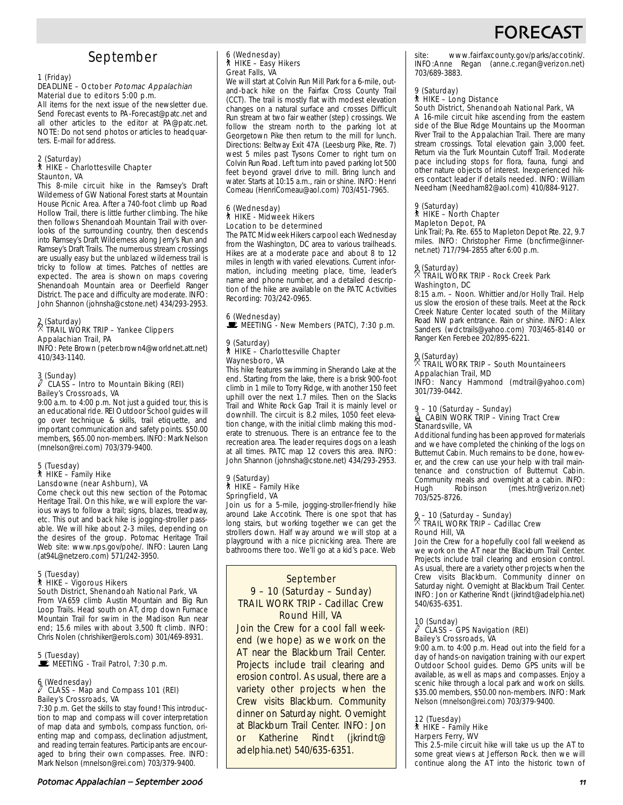# FORECAS

# September

#### 1 (Friday)

#### DEADLINE – October Potomac Appalachian Material due to editors 5:00 p.m.

All items for the next issue of the newsletter due. Send Forecast events to PA-Forecast@patc.net and all other articles to the editor at PA@patc.net. NOTE: Do not send photos or articles to headquarters. E-mail for address.

#### 2 (Saturday) ` HIKE – Charlottesville Chapter Staunton, VA

This 8-mile circuit hike in the Ramsey's Draft Wilderness of GW National Forest starts at Mountain House Picnic Area. After a 740-foot climb up Road Hollow Trail, there is little further climbing. The hike then follows Shenandoah Mountain Trail with overlooks of the surrounding country, then descends into Ramsey's Draft Wilderness along Jerry's Run and Ramsey's Draft Trails. The numerous stream crossings are usually easy but the unblazed wilderness trail is tricky to follow at times. Patches of nettles are expected. The area is shown on maps covering Shenandoah Mountain area or Deerfield Ranger District. The pace and difficulty are moderate. INFO: John Shannon (johnsha@cstone.net) 434/293-2953.

## 2 (Saturday) . TRAIL WORK TRIP – Yankee Clippers Appalachian Trail, PA

INFO: Pete Brown (peter.brown4@worldnet.att.net) 410/343-1140.

## 3 (Sunday) a CLASS – Intro to Mountain Biking (REI) Bailey's Crossroads, VA

9:00 a.m. to 4:00 p.m. Not just a guided tour, this is an educational ride. REI Outdoor School guides will go over technique & skills, trail etiquette, and important communication and safety points. \$50.00 members, \$65.00 non-members. INFO: Mark Nelson (mnelson@rei.com) 703/379-9400.

#### 5 (Tuesday)  $*$  HIKE – Family Hike Lansdowne (near Ashburn), VA

Come check out this new section of the Potomac Heritage Trail. On this hike, we will explore the various ways to follow a trail; signs, blazes, treadway, etc. This out and back hike is jogging-stroller passable. We will hike about 2-3 miles, depending on the desires of the group. Potomac Heritage Trail Web site: www.nps.gov/pohe/. INFO: Lauren Lang (at94L@netzero.com) 571/242-3950.

## 5 (Tuesday) ` HIKE – Vigorous Hikers South District, Shenandoah National Park, VA

From VA659 climb Austin Mountain and Big Run Loop Trails. Head south on AT, drop down Furnace Mountain Trail for swim in the Madison Run near end; 15.6 miles with about 3,500 ft climb. INFO: Chris Nolen (chrishiker@erols.com) 301/469-8931.

#### 5 (Tuesday) **DE MEETING - Trail Patrol, 7:30 p.m.**

#### 6 (Wednesday)  $\ell$  CLASS – Map and Compass 101 (REI) Bailey's Crossroads, VA

7:30 p.m. Get the skills to stay found! This introduction to map and compass will cover interpretation of map data and symbols, compass function, orienting map and compass, declination adjustment, and reading terrain features. Participants are encouraged to bring their own compasses. Free. INFO: Mark Nelson (mnelson@rei.com) 703/379-9400.

## 6 (Wednesday) ` HIKE – Easy Hikers Great Falls, VA

We will start at Colvin Run Mill Park for a 6-mile, outand-back hike on the Fairfax Cross County Trail (CCT). The trail is mostly flat with modest elevation changes on a natural surface and crosses Difficult Run stream at two fair weather (step) crossings. We follow the stream north to the parking lot at Georgetown Pike then return to the mill for lunch. Directions: Beltway Exit 47A (Leesburg Pike, Rte. 7) west 5 miles past Tysons Corner to right turn on Colvin Run Road. Left turn into paved parking lot 500 feet beyond gravel drive to mill. Bring lunch and water. Starts at 10:15 a.m., rain or shine. INFO: Henri Comeau (HenriComeau@aol.com) 703/451-7965.

#### 6 (Wednesday) ` HIKE - Midweek Hikers Location to be determined

The PATC Midweek Hikers carpool each Wednesday from the Washington, DC area to various trailheads. Hikes are at a moderate pace and about 8 to 12 miles in length with varied elevations. Current information, including meeting place, time, leader's name and phone number, and a detailed description of the hike are available on the PATC Activities Recording: 703/242-0965.

#### 6 (Wednesday)  $\mathbf{\dot{F}}$  MEETING - New Members (PATC), 7:30 p.m.

#### 9 (Saturday) ` HIKE – Charlottesville Chapter Waynesboro, VA

This hike features swimming in Sherando Lake at the end. Starting from the lake, there is a brisk 900-foot climb in 1 mile to Torry Ridge, with another 150 feet uphill over the next 1.7 miles. Then on the Slacks Trail and White Rock Gap Trail it is mainly level or downhill. The circuit is 8.2 miles, 1050 feet elevation change, with the initial climb making this moderate to strenuous. There is an entrance fee to the recreation area. The leader requires dogs on a leash at all times. PATC map 12 covers this area. INFO: John Shannon (johnsha@cstone.net) 434/293-2953.

#### 9 (Saturday) ` HIKE – Family Hike Springfield, VA

Join us for a 5-mile, jogging-stroller-friendly hike around Lake Accotink. There is one spot that has long stairs, but working together we can get the strollers down. Half way around we will stop at a playground with a nice picnicking area. There are bathrooms there too. We'll go at a kid's pace. Web

#### September 9 – 10 (Saturday – Sunday) TRAIL WORK TRIP - Cadillac Crew Round Hill, VA

Join the Crew for a cool fall weekend (we hope) as we work on the AT near the Blackburn Trail Center. Projects include trail clearing and erosion control. As usual, there are a variety other projects when the Crew visits Blackburn. Community dinner on Saturday night. Overnight at Blackburn Trail Center. INFO: Jon or Katherine Rindt (jkrindt@ adelphia.net) 540/635-6351.

site: www.fairfaxcounty.gov/parks/accotink/. INFO:Anne Regan (anne.c.regan@verizon.net) 703/689-3883.

#### 9 (Saturday) ` HIKE – Long Distance

#### South District, Shenandoah National Park, VA

A 16-mile circuit hike ascending from the eastern side of the Blue Ridge Mountains up the Moorman River Trail to the Appalachian Trail. There are many stream crossings. Total elevation gain 3,000 feet. Return via the Turk Mountain Cutoff Trail. Moderate pace including stops for flora, fauna, fungi and other nature objects of interest. Inexperienced hikers contact leader if details needed. INFO: William Needham (Needham82@aol.com) 410/884-9127.

# 9 (Saturday) ` HIKE – North Chapter

## Mapleton Depot, PA

Link Trail; Pa. Rte. 655 to Mapleton Depot Rte. 22, 9.7 miles. INFO: Christopher Firme (bncfirme@innernet.net) 717/794-2855 after 6:00 p.m.

## 9 (Saturday) . TRAIL WORK TRIP - Rock Creek Park Washington, DC

8:15 a.m. – Noon. Whittier and/or Holly Trail. Help us slow the erosion of these trails. Meet at the Rock Creek Nature Center located south of the Military Road NW park entrance. Rain or shine. INFO: Alex Sanders (wdctrails@yahoo.com) 703/465-8140 or Ranger Ken Ferebee 202/895-6221.

## 9 (Saturday) . TRAIL WORK TRIP – South Mountaineers Appalachian Trail, MD

INFO: Nancy Hammond (mdtrail@yahoo.com) 301/739-0442.

# 9 – 10 (Saturday – Sunday)<br>ॣ CABIN WORK TRIP – Vining Tract Crew Stanardsville, VA

Additional funding has been approved for materials and we have completed the chinking of the logs on Butternut Cabin. Much remains to be done, however, and the crew can use your help with trail maintenance and construction of Butternut Cabin. Community meals and overnight at a cabin. INFO:<br>Hugh Robinson (mes.htr@verizon.net) (mes.htr@verizon.net) 703/525-8726.

# 9 – 10 (Saturday – Sunday) . TRAIL WORK TRIP – Cadillac Crew Round Hill, VA

Join the Crew for a hopefully cool fall weekend as we work on the AT near the Blackburn Trail Center. Projects include trail clearing and erosion control. As usual, there are a variety other projects when the Crew visits Blackburn. Community dinner on Saturday night. Overnight at Blackburn Trail Center. INFO: Jon or Katherine Rindt (jkrindt@adelphia.net) 540/635-6351.

#### 10 (Sunday)

#### $N$  CLASS – GPS Navigation (REI) Bailey's Crossroads, VA

9:00 a.m. to 4:00 p.m. Head out into the field for a day of hands-on navigation training with our expert Outdoor School guides. Demo GPS units will be available, as well as maps and compasses. Enjoy a scenic hike through a local park and work on skills. \$35.00 members, \$50.00 non-members. INFO: Mark Nelson (mnelson@rei.com) 703/379-9400.

## 12 (Tuesday)

` HIKE – Family Hike Harpers Ferry, WV

This 2.5-mile circuit hike will take us up the AT to some great views at Jefferson Rock. then we will continue along the AT into the historic town of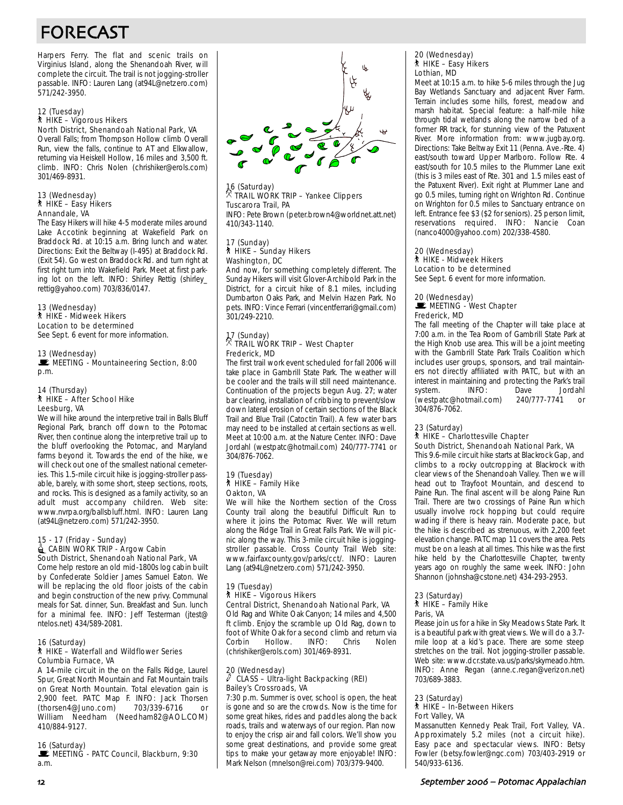# FORECAST

Harpers Ferry. The flat and scenic trails on Virginius Island, along the Shenandoah River, will complete the circuit. The trail is not jogging-stroller passable. INFO: Lauren Lang (at94L@netzero.com) 571/242-3950.

#### 12 (Tuesday) ` HIKE – Vigorous Hikers North District, Shenandoah National Park, VA

Overall Falls; from Thompson Hollow climb Overall Run, view the falls, continue to AT and Elkwallow, returning via Heiskell Hollow, 16 miles and 3,500 ft. climb. INFO: Chris Nolen (chrishiker@erols.com) 301/469-8931.

#### 13 (Wednesday) ` HIKE – Easy Hikers Annandale, VA

The Easy Hikers will hike 4-5 moderate miles around Lake Accotink beginning at Wakefield Park on Braddock Rd. at 10:15 a.m. Bring lunch and water. Directions: Exit the Beltway (I-495) at Braddock Rd. (Exit 54). Go west on Braddock Rd. and turn right at first right turn into Wakefield Park. Meet at first parking lot on the left. INFO: Shirley Rettig (shirley\_ rettig@yahoo.com) 703/836/0147.

#### 13 (Wednesday) ` HIKE - Midweek Hikers Location to be determined See Sept. 6 event for more information.

#### 13 (Wednesday)

MEETING - Mountaineering Section, 8:00 p.m.

#### 14 (Thursday) ` HIKE – After School Hike Leesburg, VA

We will hike around the interpretive trail in Balls Bluff Regional Park, branch off down to the Potomac River, then continue along the interpretive trail up to the bluff overlooking the Potomac, and Maryland farms beyond it. Towards the end of the hike, we will check out one of the smallest national cemeteries. This 1.5-mile circuit hike is jogging-stroller passable, barely, with some short, steep sections, roots, and rocks. This is designed as a family activity, so an adult must accompany children. Web site: www.nvrpa.org/ballsbluff.html. INFO: Lauren Lang (at94L@netzero.com) 571/242-3950.

#### 15 - 17 (Friday - Sunday) CABIN WORK TRIP - Argow Cabin South District, Shenandoah National Park, VA

Come help restore an old mid-1800s log cabin built by Confederate Soldier James Samuel Eaton. We will be replacing the old floor joists of the cabin and begin construction of the new privy. Communal meals for Sat. dinner, Sun. Breakfast and Sun. lunch for a minimal fee. INFO: Jeff Testerman (jtest@ ntelos.net) 434/589-2081.

#### 16 (Saturday) ` HIKE – Waterfall and Wildflower Series Columbia Furnace, VA

A 14-mile circuit in the on the Falls Ridge, Laurel Spur, Great North Mountain and Fat Mountain trails on Great North Mountain. Total elevation gain is 2,900 feet. PATC Map F. INFO: Jack Thorsen<br>(thorsen4@Juno.com) 703/339-6716 or (thorsen4@Juno.com) 703/339-6716 or William Needham (Needham82@AOL.COM) 410/884-9127.

#### 16 (Saturday)

MEETING - PATC Council, Blackburn, 9:30 a.m.



## 16 (Saturday) . TRAIL WORK TRIP – Yankee Clippers Tuscarora Trail, PA INFO: Pete Brown (peter.brown4@worldnet.att.net) 410/343-1140.

#### 17 (Sunday) ` HIKE – Sunday Hikers Washington, DC

And now, for something completely different. The Sunday Hikers will visit Glover-Archibold Park in the District, for a circuit hike of 8.1 miles, including Dumbarton Oaks Park, and Melvin Hazen Park. No pets. INFO: Vince Ferrari (vincentferrari@gmail.com) 301/249-2210.

## 17 (Sunday) . TRAIL WORK TRIP – West Chapter Frederick, MD

The first trail work event scheduled for fall 2006 will take place in Gambrill State Park. The weather will be cooler and the trails will still need maintenance. Continuation of the projects begun Aug. 27; water bar clearing, installation of cribbing to prevent/slow down lateral erosion of certain sections of the Black Trail and Blue Trail (Catoctin Trail). A few water bars may need to be installed at certain sections as well. Meet at 10:00 a.m. at the Nature Center. INFO: Dave Jordahl (westpatc@hotmail.com) 240/777-7741 or 304/876-7062.

#### 19 (Tuesday)  $\hbar$  HIKE – Family Hike Oakton, VA

We will hike the Northern section of the Cross County trail along the beautiful Difficult Run to where it joins the Potomac River. We will return along the Ridge Trail in Great Falls Park. We will picnic along the way. This 3-mile circuit hike is joggingstroller passable. Cross County Trail Web site: www.fairfaxcounty.gov/parks/cct/. INFO: Lauren Lang (at94L@netzero.com) 571/242-3950.

## 19 (Tuesday)

#### ` HIKE – Vigorous Hikers

Central District, Shenandoah National Park, VA Old Rag and White Oak Canyon; 14 miles and 4,500 ft climb. Enjoy the scramble up Old Rag, down to foot of White Oak for a second climb and return via Hollow. (chrishiker@erols.com) 301/469-8931.

## 20 (Wednesday) a CLASS – Ultra-light Backpacking (REI) Bailey's Crossroads, VA

7:30 p.m. Summer is over, school is open, the heat is gone and so are the crowds. Now is the time for some great hikes, rides and paddles along the back roads, trails and waterways of our region. Plan now to enjoy the crisp air and fall colors. We'll show you some great destinations, and provide some great tips to make your getaway more enjoyable! INFO: Mark Nelson (mnelson@rei.com) 703/379-9400.

#### 20 (Wednesday) ` HIKE – Easy Hikers Lothian, MD

Meet at 10:15 a.m. to hike 5-6 miles through the Jug Bay Wetlands Sanctuary and adjacent River Farm. Terrain includes some hills, forest, meadow and marsh habitat. Special feature: a half-mile hike through tidal wetlands along the narrow bed of a former RR track, for stunning view of the Patuxent River. More information from: www.jugbay.org. Directions: Take Beltway Exit 11 (Penna. Ave.-Rte. 4) east/south toward Upper Marlboro. Follow Rte. 4 east/south for 10.5 miles to the Plummer Lane exit (this is 3 miles east of Rte. 301 and 1.5 miles east of the Patuxent River). Exit right at Plummer Lane and go 0.5 miles, turning right on Wrighton Rd. Continue on Wrighton for 0.5 miles to Sanctuary entrance on left. Entrance fee \$3 (\$2 for seniors). 25 person limit, reservations required. INFO: Nancie Coan (nanco4000@yahoo.com) 202/338-4580.

#### 20 (Wednesday) ` HIKE - Midweek Hikers Location to be determined

See Sept. 6 event for more information.

#### 20 (Wednesday)  $\mathbf{E}$  MEETING - West Chapter Frederick, MD

The fall meeting of the Chapter will take place at 7:00 a.m. in the Tea Room of Gambrill State Park at the High Knob use area. This will be a joint meeting with the Gambrill State Park Trails Coalition which includes user groups, sponsors, and trail maintainers not directly affiliated with PATC, but with an interest in maintaining and protecting the Park's trail system. INFO: Dave Jordahl (westpatc@hotmail.com) 240/777-7741 or 304/876-7062.

## 23 (Saturday)

#### ` HIKE – Charlottesville Chapter South District, Shenandoah National Park, VA

This 9.6-mile circuit hike starts at Blackrock Gap, and climbs to a rocky outcropping at Blackrock with clear views of the Shenandoah Valley. Then we will head out to Trayfoot Mountain, and descend to Paine Run. The final ascent will be along Paine Run Trail. There are two crossings of Paine Run which usually involve rock hopping but could require wading if there is heavy rain. Moderate pace, but the hike is described as strenuous, with 2,200 feet elevation change. PATC map 11 covers the area. Pets must be on a leash at all times. This hike was the first hike held by the Charlottesville Chapter, twenty years ago on roughly the same week. INFO: John Shannon (johnsha@cstone.net) 434-293-2953.

#### 23 (Saturday) ` HIKE – Family Hike Paris, VA

Please join us for a hike in Sky Meadows State Park. It is a beautiful park with great views. We will do a 3.7 mile loop at a kid's pace. There are some steep stretches on the trail. Not jogging-stroller passable. Web site: www.dcr.state.va.us/parks/skymeado.htm. INFO: Anne Regan (anne.c.regan@verizon.net) 703/689-3883.

#### 23 (Saturday) ` HIKE – In-Between Hikers Fort Valley, VA

Massanutten Kennedy Peak Trail, Fort Valley, VA. Approximately 5.2 miles (not a circuit hike). Easy pace and spectacular views. INFO: Betsy Fowler (betsy.fowler@ngc.com) 703/403-2919 or 540/933-6136.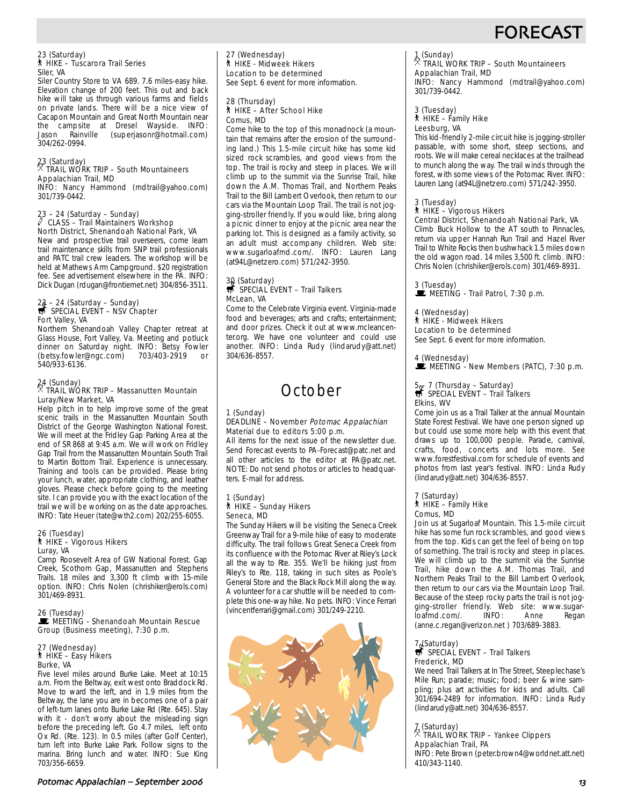# **FORECAS**

## 23 (Saturday) ` HIKE – Tuscarora Trail Series Siler, VA

Siler Country Store to VA 689. 7.6 miles-easy hike. Elevation change of 200 feet. This out and back hike will take us through various farms and fields on private lands. There will be a nice view of Cacapon Mountain and Great North Mountain near the campsite at Dresel Wayside. INFO:<br>Jason Rainville (superiasonr@hotmail.com) (superjasonr@hotmail.com) 304/262-0994.

## 23 (Saturday) . TRAIL WORK TRIP – South Mountaineers Appalachian Trail, MD

INFO: Nancy Hammond (mdtrail@yahoo.com) 301/739-0442.

## 23 – 24 (Saturday – Sunday) a CLASS – Trail Maintainers Workshop North District, Shenandoah National Park, VA

New and prospective trail overseers, come learn trail maintenance skills from SNP trail professionals and PATC trail crew leaders. The workshop will be held at Mathews Arm Campground. \$20 registration fee. See advertisement elsewhere in the PA. INFO: Dick Dugan (rdugan@frontiernet.net) 304/856-3511.

# 23 – 24 (Saturday – Sunday)<br>
SPECIAL EVENT – NSV Chapter Fort Valley, VA

Northern Shenandoah Valley Chapter retreat at Glass House, Fort Valley, Va. Meeting and potluck dinner on Saturday night. INFO: Betsy Fowler<br>(betsy.fowler@ngc.com) 703/403-2919 or (betsy.fowler@ngc.com) 703/403-2919 or 540/933-6136.

## 24 (Sunday) . TRAIL WORK TRIP – Massanutten Mountain Luray/New Market, VA

Help pitch in to help improve some of the great scenic trails in the Massanutten Mountain South District of the George Washington National Forest. We will meet at the Fridley Gap Parking Area at the end of SR 868 at 9:45 a.m. We will work on Fridley Gap Trail from the Massanutten Mountain South Trail to Martin Bottom Trail. Experience is unnecessary. Training and tools can be provided. Please bring your lunch, water, appropriate clothing, and leather gloves. Please check before going to the meeting site. I can provide you with the exact location of the trail we will be working on as the date approaches. INFO: Tate Heuer (tate@wth2.com) 202/255-6055.

#### 26 (Tuesday) ` HIKE – Vigorous Hikers Luray, VA

Camp Roosevelt Area of GW National Forest. Gap Creek, Scothorn Gap, Massanutten and Stephens Trails. 18 miles and 3,300 ft climb with 15-mile option. INFO: Chris Nolen (chrishiker@erols.com) 301/469-8931.

26 (Tuesday)<br>■ MEETING - Shenandoah Mountain Rescue Group (Business meeting), 7:30 p.m.

#### 27 (Wednesday) ` HIKE – Easy Hikers Burke, VA

Five level miles around Burke Lake. Meet at 10:15 a.m. From the Beltway, exit west onto Braddock Rd. Move to ward the left, and in 1.9 miles from the Beltway, the lane you are in becomes one of a pair of left-turn lanes onto Burke Lake Rd (Rte. 645). Stay with it - don't worry about the misleading sign before the preceding left. Go 4.7 miles, left onto Ox Rd. (Rte. 123). In 0.5 miles (after Golf Center), turn left into Burke Lake Park. Follow signs to the marina. Bring lunch and water. INFO: Sue King 703/356-6659.

27 (Wednesday) ` HIKE - Midweek Hikers Location to be determined See Sept. 6 event for more information.

#### 28 (Thursday) ` HIKE – After School Hike Comus, MD

Come hike to the top of this monadnock (a mountain that remains after the erosion of the surrounding land.) This 1.5-mile circuit hike has some kid sized rock scrambles, and good views from the top. The trail is rocky and steep in places. We will climb up to the summit via the Sunrise Trail, hike down the A.M. Thomas Trail, and Northern Peaks Trail to the Bill Lambert Overlook, then return to our cars via the Mountain Loop Trail. The trail is not jogging-stroller friendly. If you would like, bring along a picnic dinner to enjoy at the picnic area near the parking lot. This is designed as a family activity, so an adult must accompany children. Web site: www.sugarloafmd.com/. INFO: Lauren Lang (at94L@netzero.com) 571/242-3950.

# 30 (Saturday)<br>
SPECIAL EVENT – Trail Talkers McLean, VA

Come to the Celebrate Virginia event. Virginia-made food and beverages; arts and crafts; entertainment; and door prizes. Check it out at www.mcleancenter.org. We have one volunteer and could use another. INFO: Linda Rudy (lindarudy@att.net) 304/636-8557.

# **October**

#### 1 (Sunday) DEADLINE – November Potomac Appalachian Material due to editors 5:00 p.m.

All items for the next issue of the newsletter due. Send Forecast events to PA-Forecast@patc.net and all other articles to the editor at PA@patc.net. NOTE: Do not send photos or articles to headquarters. E-mail for address.

#### 1 (Sunday) ` HIKE – Sunday Hikers Seneca, MD

The Sunday Hikers will be visiting the Seneca Creek Greenway Trail for a 9-mile hike of easy to moderate difficulty. The trail follows Great Seneca Creek from its confluence with the Potomac River at Riley's Lock all the way to Rte. 355. We'll be hiking just from Riley's to Rte. 118, taking in such sites as Poole's General Store and the Black Rock Mill along the way. A volunteer for a car shuttle will be needed to complete this one-way hike. No pets. INFO: Vince Ferrari (vincentferrari@gmail.com) 301/249-2210.



# 1 (Sunday) . TRAIL WORK TRIP – South Mountaineers Appalachian Trail, MD

INFO: Nancy Hammond (mdtrail@yahoo.com) 301/739-0442.

#### 3 (Tuesday) ` HIKE – Family Hike Leesburg, VA

This kid-friendly 2-mile circuit hike is jogging-stroller passable, with some short, steep sections, and roots. We will make cereal necklaces at the trailhead to munch along the way. The trail winds through the forest, with some views of the Potomac River. INFO: Lauren Lang (at94L@netzero.com) 571/242-3950.

## 3 (Tuesday)

## ` HIKE – Vigorous Hikers

#### Central District, Shenandoah National Park, VA

Climb Buck Hollow to the AT south to Pinnacles, return via upper Hannah Run Trail and Hazel River Trail to White Rocks then bushwhack 1.5 miles down the old wagon road. 14 miles 3,500 ft. climb. INFO: Chris Nolen (chrishiker@erols.com) 301/469-8931.

3 (Tuesday)<br>■ MEETING - Trail Patrol, 7:30 p.m.

## 4 (Wednesday)

` HIKE - Midweek Hikers Location to be determined See Sept. 6 event for more information.

4 (Wednesday)  $\blacksquare$  MEETING - New Members (PATC), 7:30 p.m.

# 5  $\frac{5}{5}$  7 (Thursday – Saturday)<br> $\frac{5}{50}$  SPECIAL EVENT – Trail Talkers Elkins, WV

Come join us as a Trail Talker at the annual Mountain State Forest Festival. We have one person signed up but could use some more help with this event that draws up to 100,000 people. Parade, carnival, crafts, food, concerts and lots more. See www.forestfestival.com for schedule of events and photos from last year's festival. INFO: Linda Rudy (lindarudy@att.net) 304/636-8557.

#### 7 (Saturday) ` HIKE – Family Hike Comus, MD

Join us at Sugarloaf Mountain. This 1.5-mile circuit hike has some fun rock scrambles, and good views from the top. Kids can get the feel of being on top of something. The trail is rocky and steep in places. We will climb up to the summit via the Sunrise Trail, hike down the A.M. Thomas Trail, and Northern Peaks Trail to the Bill Lambert Overlook, then return to our cars via the Mountain Loop Trail. Because of the steep rocky parts the trail is not jogging-stroller friendly. Web site: www.sugar-<br>loafmd.com/. INFO: Anne Regan loafmd.com/. INFO: Anne Regan (anne.c.regan@verizon.net ) 703/689-3883.

# 7 (Saturday)<br>第 SPECIAL EVENT – Trail Talkers Frederick, MD

We need Trail Talkers at In The Street, Steeplechase's Mile Run; parade; music; food; beer & wine sampling; plus art activities for kids and adults. Call 301/694-2489 for information. INFO: Linda Rudy (lindarudy@att.net) 304/636-8557.

## 7 (Saturday) . TRAIL WORK TRIP – Yankee Clippers Appalachian Trail, PA

INFO: Pete Brown (peter.brown4@worldnet.att.net) 410/343-1140.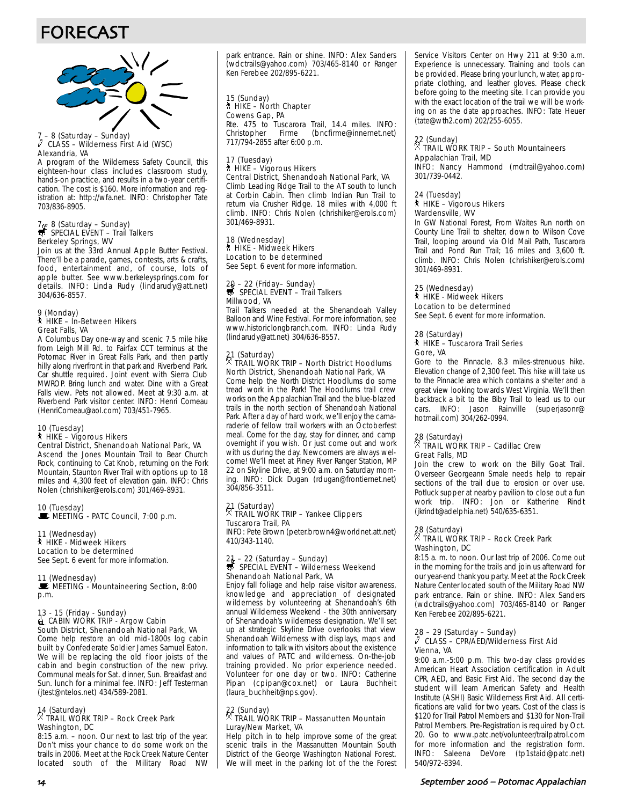# FORECAST



## 7 – 8 (Saturday – Sunday) a CLASS – Wilderness First Aid (WSC) Alexandria, VA

A program of the Wilderness Safety Council, this eighteen-hour class includes classroom study, hands-on practice, and results in a two-year certification. The cost is \$160. More information and registration at: http://wfa.net. INFO: Christopher Tate 703/836-8905.

# 7  $\frac{7}{57}$  8 (Saturday – Sunday)<br> $\frac{1}{57}$  SPECIAL EVENT – Trail Talkers Berkeley Springs, WV

Join us at the 33rd Annual Apple Butter Festival. There'll be a parade, games, contests, arts & crafts, food, entertainment and, of course, lots of apple butter. See www.berkeleysprings.com for details. INFO: Linda Rudy (lindarudy@att.net) 304/636-8557.

# 9 (Monday) ` HIKE – In-Between Hikers Great Falls, VA

A Columbus Day one-way and scenic 7.5 mile hike from Leigh Mill Rd. to Fairfax CCT terminus at the Potomac River in Great Falls Park, and then partly hilly along riverfront in that park and Riverbend Park. Car shuttle required. Joint event with Sierra Club MWROP. Bring lunch and water. Dine with a Great Falls view. Pets not allowed. Meet at 9:30 a.m. at Riverbend Park visitor center. INFO: Henri Comeau (HenriComeau@aol.com) 703/451-7965.

#### 10 (Tuesday) ` HIKE – Vigorous Hikers Central District, Shenandoah National Park, VA

Ascend the Jones Mountain Trail to Bear Church Rock, continuing to Cat Knob, returning on the Fork Mountain, Staunton River Trail with options up to 18 miles and 4,300 feet of elevation gain. INFO: Chris Nolen (chrishiker@erols.com) 301/469-8931.

10 (Tuesday)<br>■ MEETING - PATC Council, 7:00 p.m.

#### 11 (Wednesday) ` HIKE - Midweek Hikers

Location to be determined See Sept. 6 event for more information.

#### 11 (Wednesday)

MEETING - Mountaineering Section, 8:00 p.m.

# 13 - 15 (Friday - Sunday)<br>Le CABIN WORK TRIP - Argow Cabin South District, Shenandoah National Park, VA

Come help restore an old mid-1800s log cabin built by Confederate Soldier James Samuel Eaton. We will be replacing the old floor joists of the cabin and begin construction of the new privy. Communal meals for Sat. dinner, Sun. Breakfast and Sun. lunch for a minimal fee. INFO: Jeff Testerman (jtest@ntelos.net) 434/589-2081.

## 14 (Saturday) . TRAIL WORK TRIP – Rock Creek Park Washington, DC

8:15 a.m. – noon. Our next to last trip of the year. Don't miss your chance to do some work on the trails in 2006. Meet at the Rock Creek Nature Center located south of the Military Road NW park entrance. Rain or shine. INFO: Alex Sanders (wdctrails@yahoo.com) 703/465-8140 or Ranger Ken Ferebee 202/895-6221.

#### 15 (Sunday) ` HIKE – North Chapter Cowens Gap, PA Rte. 475 to Tuscarora Trail, 14.4 miles. INFO: Firme (bncfirme@innernet.net) 717/794-2855 after 6:00 p.m.

#### 17 (Tuesday) ` HIKE – Vigorous Hikers Central District, Shenandoah National Park, VA

Climb Leading Ridge Trail to the AT south to lunch at Corbin Cabin. Then climb Indian Run Trail to return via Crusher Ridge. 18 miles with 4,000 ft climb. INFO: Chris Nolen (chrishiker@erols.com) 301/469-8931.

#### 18 (Wednesday) ` HIKE - Midweek Hikers

Location to be determined See Sept. 6 event for more information.

## 20 – 22 (Friday– Sunday)<br>
SPECIAL EVENT – Trail Talkers Millwood, VA

Trail Talkers needed at the Shenandoah Valley Balloon and Wine Festival. For more information, see www.historiclongbranch.com. INFO: Linda Rudy (lindarudy@att.net) 304/636-8557.

# 21 (Saturday) . TRAIL WORK TRIP – North District Hoodlums North District, Shenandoah National Park, VA

Come help the North District Hoodlums do some tread work in the Park! The Hoodlums trail crew works on the Appalachian Trail and the blue-blazed trails in the north section of Shenandoah National Park. After a day of hard work, we'll enjoy the camaraderie of fellow trail workers with an Octoberfest meal. Come for the day, stay for dinner, and camp overnight if you wish. Or just come out and work with us during the day. Newcomers are always welcome! We'll meet at Piney River Ranger Station, MP 22 on Skyline Drive, at 9:00 a.m. on Saturday morning. INFO: Dick Dugan (rdugan@frontiernet.net) 304/856-3511.

# 21 (Saturday) . TRAIL WORK TRIP – Yankee Clippers

#### Tuscarora Trail, PA INFO: Pete Brown (peter.brown4@worldnet.att.net)

410/343-1140.

# 21 – 22 (Saturday – Sunday)<br>₩ SPECIAL EVENT – Wilderness Weekend Shenandoah National Park, VA

Enjoy fall foliage and help raise visitor awareness, knowledge and appreciation of designated wilderness by volunteering at Shenandoah's 6th annual Wilderness Weekend - the 30th anniversary of Shenandoah's wilderness designation. We'll set up at strategic Skyline Drive overlooks that view Shenandoah Wilderness with displays, maps and information to talk with visitors about the existence and values of PATC and wilderness. On-the-job training provided. No prior experience needed. Volunteer for one day or two. INFO: Catherine Pipan (cpipan@cox.net) or Laura Buchheit (laura\_buchheit@nps.gov).

## 22 (Sunday) . TRAIL WORK TRIP – Massanutten Mountain Luray/New Market, VA

Help pitch in to help improve some of the great scenic trails in the Massanutten Mountain South District of the George Washington National Forest. We will meet in the parking lot of the the Forest Service Visitors Center on Hwy 211 at 9:30 a.m. Experience is unnecessary. Training and tools can be provided. Please bring your lunch, water, appropriate clothing, and leather gloves. Please check before going to the meeting site. I can provide you with the exact location of the trail we will be working on as the date approaches. INFO: Tate Heuer (tate@wth2.com) 202/255-6055.

## 22 (Sunday) . TRAIL WORK TRIP – South Mountaineers Appalachian Trail, MD

INFO: Nancy Hammond (mdtrail@yahoo.com) 301/739-0442.

## 24 (Tuesday)

#### ` HIKE – Vigorous Hikers Wardensville, WV

In GW National Forest, From Waites Run north on County Line Trail to shelter, down to Wilson Cove Trail, looping around via Old Mail Path, Tuscarora Trail and Pond Run Trail; 16 miles and 3,600 ft. climb. INFO: Chris Nolen (chrishiker@erols.com) 301/469-8931.

#### 25 (Wednesday) ` HIKE - Midweek Hikers

Location to be determined See Sept. 6 event for more information.

#### 28 (Saturday) ` HIKE – Tuscarora Trail Series Gore, VA

Gore to the Pinnacle. 8.3 miles-strenuous hike. Elevation change of 2,300 feet. This hike will take us to the Pinnacle area which contains a shelter and a great view looking towards West Virginia. We'll then backtrack a bit to the Biby Trail to lead us to our cars. INFO: Jason Rainville (superjasonr@ hotmail.com) 304/262-0994.

## 28 (Saturday) . TRAIL WORK TRIP – Cadillac Crew Great Falls, MD

Join the crew to work on the Billy Goat Trail. Overseer Georgeann Smale needs help to repair sections of the trail due to erosion or over use. Potluck supper at nearby pavilion to close out a fun work trip. INFO: Jon or Katherine Rindt (jkrindt@adelphia.net) 540/635-6351.

## 28 (Saturday) . TRAIL WORK TRIP – Rock Creek Park Washington, DC

8:15 a. m. to noon. Our last trip of 2006. Come out in the morning for the trails and join us afterward for our year-end thank you party. Meet at the Rock Creek Nature Center located south of the Military Road NW park entrance. Rain or shine. INFO: Alex Sanders (wdctrails@yahoo.com) 703/465-8140 or Ranger Ken Ferebee 202/895-6221.

#### 28 – 29 (Saturday – Sunday)  $\ell$  CLASS – CPR/AED/Wilderness First Aid Vienna, VA

9:00 a.m.-5:00 p.m. This two-day class provides American Heart Association certification in Adult CPR, AED, and Basic First Aid. The second day the student will learn American Safety and Health Institute (ASHI) Basic Wilderness First Aid. All certifications are valid for two years. Cost of the class is \$120 for Trail Patrol Members and \$130 for Non-Trail Patrol Members. Pre-Registration is required by Oct. 20. Go to www.patc.net/volunteer/trailpatrol.com for more information and the registration form. INFO: Saleena DeVore (tp1staid@patc.net) 540/972-8394.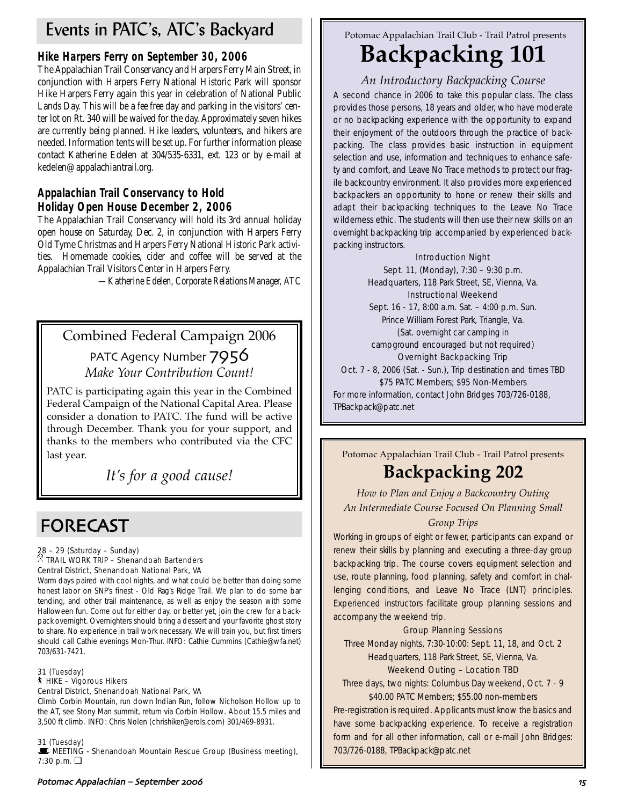# Events in PATC's, ATC's Backyard

# **Hike Harpers Ferry on September 30, 2006**

The Appalachian Trail Conservancy and Harpers Ferry Main Street, in conjunction with Harpers Ferry National Historic Park will sponsor Hike Harpers Ferry again this year in celebration of National Public Lands Day. This will be a *fee free* day and parking in the visitors' center lot on Rt. 340 will be waived for the day. Approximately seven hikes are currently being planned. Hike leaders, volunteers, and hikers are needed. Information tents will be set up. For further information please contact Katherine Edelen at 304/535-6331, ext. 123 or by e-mail at kedelen@appalachiantrail.org.

# **Appalachian Trail Conservancy to Hold Holiday Open House December 2, 2006**

The Appalachian Trail Conservancy will hold its 3rd annual holiday open house on Saturday, Dec. 2, in conjunction with Harpers Ferry Old Tyme Christmas and Harpers Ferry National Historic Park activities. Homemade cookies, cider and coffee will be served at the Appalachian Trail Visitors Center in Harpers Ferry.

*—Katherine Edelen, Corporate Relations Manager, ATC*

# Combined Federal Campaign 2006

PATC Agency Number  $7956$ *Make Your Contribution Count!*

PATC is participating again this year in the Combined Federal Campaign of the National Capital Area. Please consider a donation to PATC. The fund will be active through December. Thank you for your support, and thanks to the members who contributed via the CFC last year.

*It's for a good cause!*

# FORECAST

#### 28 – 29 (Saturday – Sunday)  $\overline{R}$  TRAIL WORK TRIP – Shenandoah Bartenders Central District, Shenandoah National Park, VA

Warm days paired with cool nights, and what could be better than doing some honest labor on SNP's finest - Old Rag's Ridge Trail. We plan to do some bar tending, and other trail maintenance, as well as enjoy the season with some Halloween fun. Come out for either day, or better yet, join the crew for a backpack overnight. Overnighters should bring a dessert and your favorite ghost story to share. No experience in trail work necessary. We will train you, but first timers should call Cathie evenings Mon-Thur. INFO: Cathie Cummins (Cathie@wfa.net) 703/631-7421.

## 31 (Tuesday)

## ` HIKE – Vigorous Hikers

## Central District, Shenandoah National Park, VA

Climb Corbin Mountain, run down Indian Run, follow Nicholson Hollow up to the AT, see Stony Man summit, return via Corbin Hollow. About 15.5 miles and 3,500 ft climb. INFO: Chris Nolen (chrishiker@erols.com) 301/469-8931.

## 31 (Tuesday)

**WEETING - Shenandoah Mountain Rescue Group (Business meeting),** 7:30 p.m. ❏

Potomac Appalachian Trail Club - Trail Patrol presents

# **Backpacking 101**

# *An Introductory Backpacking Course*

A second chance in 2006 to take this popular class. The class provides those persons, 18 years and older, who have moderate or no backpacking experience with the opportunity to expand their enjoyment of the outdoors through the practice of backpacking. The class provides basic instruction in equipment selection and use, information and techniques to enhance safety and comfort, and Leave No Trace methods to protect our fragile backcountry environment. It also provides more experienced backpackers an opportunity to hone or renew their skills and adapt their backpacking techniques to the Leave No Trace wilderness ethic. The students will then use their new skills on an overnight backpacking trip accompanied by experienced backpacking instructors.

## Introduction Night

Sept. 11, (Monday), 7:30 – 9:30 p.m. Headquarters, 118 Park Street, SE, Vienna, Va. Instructional Weekend Sept. 16 - 17, 8:00 a.m. Sat. – 4:00 p.m. Sun. Prince William Forest Park, Triangle, Va. (Sat. overnight car camping in campground encouraged but not required) Overnight Backpacking Trip Oct. 7 - 8, 2006 (Sat. - Sun.), Trip destination and times TBD \$75 PATC Members; \$95 Non-Members For more information, contact John Bridges 703/726-0188, TPBackpack@patc.net

Potomac Appalachian Trail Club - Trail Patrol presents **Backpacking 202**

*How to Plan and Enjoy a Backcountry Outing An Intermediate Course Focused On Planning Small Group Trips*

Working in groups of eight or fewer, participants can expand or renew their skills by planning and executing a three-day group backpacking trip. The course covers equipment selection and use, route planning, food planning, safety and comfort in challenging conditions, and Leave No Trace (LNT) principles. Experienced instructors facilitate group planning sessions and accompany the weekend trip.

## Group Planning Sessions

Three Monday nights, 7:30-10:00: Sept. 11, 18, and Oct. 2 Headquarters, 118 Park Street, SE, Vienna, Va.

## Weekend Outing – Location TBD

Three days, two nights: Columbus Day weekend, Oct. 7 - 9 \$40.00 PATC Members; \$55.00 non-members

Pre-registration is required. Applicants must know the basics and have some backpacking experience. To receive a registration form and for all other information, call or e-mail John Bridges: 703/726-0188, TPBackpack@patc.net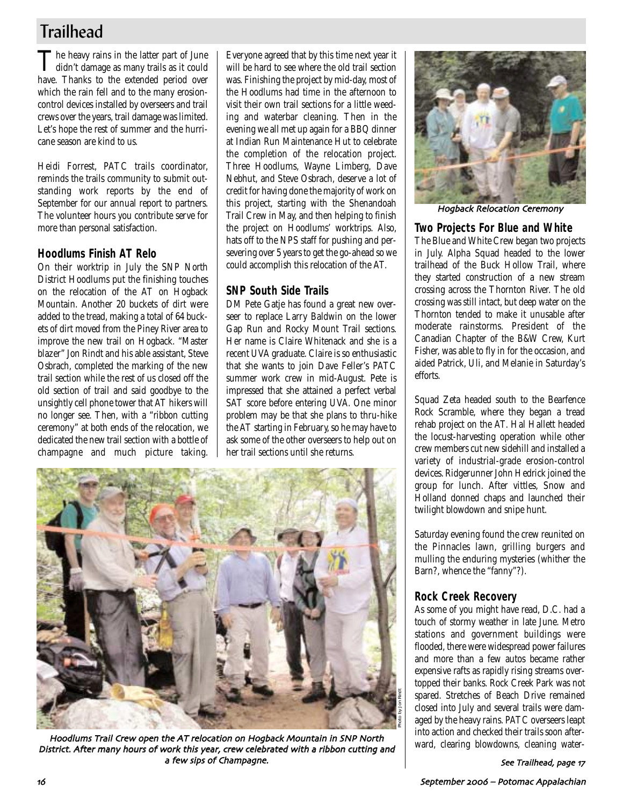# **Trailhead**

The heavy rains in the latter part of June didn't damage as many trails as it could have. Thanks to the extended period over which the rain fell and to the many erosioncontrol devices installed by overseers and trail crews over the years, trail damage was limited. Let's hope the rest of summer and the hurricane season are kind to us.

Heidi Forrest, PATC trails coordinator, reminds the trails community to submit outstanding work reports by the end of September for our annual report to partners. The volunteer hours you contribute serve for more than personal satisfaction.

# **Hoodlums Finish AT Relo**

On their worktrip in July the SNP North District Hoodlums put the finishing touches on the relocation of the AT on Hogback Mountain. Another 20 buckets of dirt were added to the tread, making a total of 64 buckets of dirt moved from the Piney River area to improve the new trail on Hogback. "Master blazer" Jon Rindt and his able assistant, Steve Osbrach, completed the marking of the new trail section while the rest of us closed off the old section of trail and said goodbye to the unsightly cell phone tower that AT hikers will no longer see. Then, with a "ribbon cutting ceremony" at both ends of the relocation, we dedicated the new trail section with a bottle of champagne and much picture taking.

Everyone agreed that by this time next year it will be hard to see where the old trail section was. Finishing the project by mid-day, most of the Hoodlums had time in the afternoon to visit their own trail sections for a little weeding and waterbar cleaning. Then in the evening we all met up again for a BBQ dinner at Indian Run Maintenance Hut to celebrate the completion of the relocation project. Three Hoodlums, Wayne Limberg, Dave Nebhut, and Steve Osbrach, deserve a lot of credit for having done the majority of work on this project, starting with the Shenandoah Trail Crew in May, and then helping to finish the project on Hoodlums' worktrips. Also, hats off to the NPS staff for pushing and persevering over 5 years to get the go-ahead so we could accomplish this relocation of the AT.

# **SNP South Side Trails**

DM Pete Gatje has found a great new overseer to replace Larry Baldwin on the lower Gap Run and Rocky Mount Trail sections. Her name is Claire Whitenack and she is a recent UVA graduate. Claire is so enthusiastic that she wants to join Dave Feller's PATC summer work crew in mid-August. Pete is impressed that she attained a perfect verbal SAT score before entering UVA. One minor problem may be that she plans to thru-hike the AT starting in February, so he may have to ask some of the other overseers to help out on her trail sections until she returns.



Hoodlums Trail Crew open the AT relocation on Hogback Mountain in SNP North District. After many hours of work this year, crew celebrated with a ribbon cutting and a few sips of Champagne



Hogback Relocation Ceremony

# **Two Projects For Blue and White**

The Blue and White Crew began two projects in July. Alpha Squad headed to the lower trailhead of the Buck Hollow Trail, where they started construction of a new stream crossing across the Thornton River. The old crossing was still intact, but deep water on the Thornton tended to make it unusable after moderate rainstorms. President of the Canadian Chapter of the B&W Crew, Kurt Fisher, was able to fly in for the occasion, and aided Patrick, Uli, and Melanie in Saturday's efforts.

Squad Zeta headed south to the Bearfence Rock Scramble, where they began a tread rehab project on the AT. Hal Hallett headed the locust-harvesting operation while other crew members cut new sidehill and installed a variety of industrial-grade erosion-control devices. Ridgerunner John Hedrick joined the group for lunch. After vittles, Snow and Holland donned chaps and launched their twilight blowdown and snipe hunt.

Saturday evening found the crew reunited on the Pinnacles lawn, grilling burgers and mulling the enduring mysteries (whither the Barn?, whence the "fanny"?).

# **Rock Creek Recovery**

As some of you might have read, D.C. had a touch of stormy weather in late June. Metro stations and government buildings were flooded, there were widespread power failures and more than a few autos became rather expensive rafts as rapidly rising streams overtopped their banks. Rock Creek Park was not spared. Stretches of Beach Drive remained closed into July and several trails were damaged by the heavy rains. PATC overseers leapt into action and checked their trails soon after-<br>ward, clearing blowdowns, cleaning water-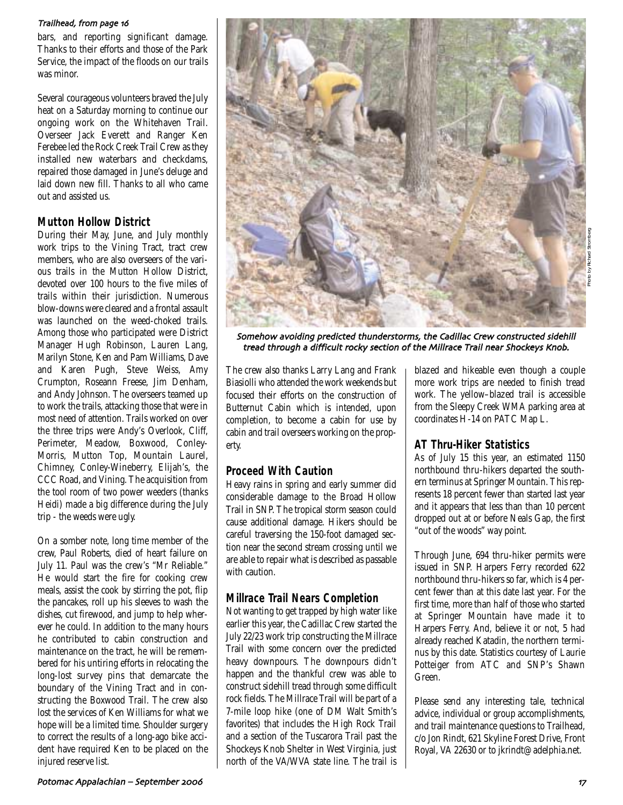#### Trailhead, from page 16

bars, and reporting significant damage. Thanks to their efforts and those of the Park Service, the impact of the floods on our trails was minor.

Several courageous volunteers braved the July heat on a Saturday morning to continue our ongoing work on the Whitehaven Trail. Overseer Jack Everett and Ranger Ken Ferebee led the Rock Creek Trail Crew as they installed new waterbars and checkdams, repaired those damaged in June's deluge and laid down new fill. Thanks to all who came out and assisted us.

# **Mutton Hollow District**

During their May, June, and July monthly work trips to the Vining Tract, tract crew members, who are also overseers of the various trails in the Mutton Hollow District, devoted over 100 hours to the five miles of trails within their jurisdiction. Numerous blow-downs were cleared and a frontal assault was launched on the weed-choked trails. Among those who participated were District Manager Hugh Robinson, Lauren Lang, Marilyn Stone, Ken and Pam Williams, Dave and Karen Pugh, Steve Weiss, Amy Crumpton, Roseann Freese, Jim Denham, and Andy Johnson. The overseers teamed up to work the trails, attacking those that were in most need of attention. Trails worked on over the three trips were Andy's Overlook, Cliff, Perimeter, Meadow, Boxwood, Conley-Morris, Mutton Top, Mountain Laurel, Chimney, Conley-Wineberry, Elijah's, the CCC Road, and Vining. The acquisition from the tool room of two power weeders (thanks Heidi) made a big difference during the July trip - the weeds were ugly.

On a somber note, long time member of the crew, Paul Roberts, died of heart failure on July 11. Paul was the crew's "Mr Reliable." He would start the fire for cooking crew meals, assist the cook by stirring the pot, flip the pancakes, roll up his sleeves to wash the dishes, cut firewood, and jump to help wherever he could. In addition to the many hours he contributed to cabin construction and maintenance on the tract, he will be remembered for his untiring efforts in relocating the long-lost survey pins that demarcate the boundary of the Vining Tract and in constructing the Boxwood Trail. The crew also lost the services of Ken Williams for what we hope will be a limited time. Shoulder surgery to correct the results of a long-ago bike accident have required Ken to be placed on the injured reserve list.



Somehow avoiding predicted thunderstorms, the Cadillac Crew constructed sidehill tread through a difficult rocky section of the Millrace Trail near Shockeys Knob

The crew also thanks Larry Lang and Frank Biasiolli who attended the work weekends but focused their efforts on the construction of Butternut Cabin which is intended, upon completion, to become a cabin for use by cabin and trail overseers working on the property.

# **Proceed With Caution**

Heavy rains in spring and early summer did considerable damage to the Broad Hollow Trail in SNP. The tropical storm season could cause additional damage. Hikers should be careful traversing the 150-foot damaged section near the second stream crossing until we are able to repair what is described as passable with caution.

# **Millrace Trail Nears Completion**

Not wanting to get trapped by high water like earlier this year, the Cadillac Crew started the July 22/23 work trip constructing the Millrace Trail with some concern over the predicted heavy downpours. The downpours didn't happen and the thankful crew was able to construct sidehill tread through some difficult rock fields. The Millrace Trail will be part of a 7-mile loop hike (one of DM Walt Smith's favorites) that includes the High Rock Trail and a section of the Tuscarora Trail past the Shockeys Knob Shelter in West Virginia, just north of the VA/WVA state line. The trail is blazed and hikeable even though a couple more work trips are needed to finish tread work. The yellow–blazed trail is accessible from the Sleepy Creek WMA parking area at coordinates H-14 on PATC Map L.

# **AT Thru-Hiker Statistics**

As of July 15 this year, an estimated 1150 northbound thru-hikers departed the southern terminus at Springer Mountain. This represents 18 percent fewer than started last year and it appears that less than than 10 percent dropped out at or before Neals Gap, the first "out of the woods" way point.

Through June, 694 thru-hiker permits were issued in SNP. Harpers Ferry recorded 622 northbound thru-hikers so far, which is 4 percent fewer than at this date last year. For the first time, more than half of those who started at Springer Mountain have made it to Harpers Ferry. And, believe it or not, 5 had already reached Katadin, the northern terminus by this date. Statistics courtesy of Laurie Potteiger from ATC and SNP's Shawn Green.

Please send any interesting tale, technical advice, individual or group accomplishments, and trail maintenance questions to Trailhead, c/o Jon Rindt, 621 Skyline Forest Drive, Front Royal, VA 22630 or to jkrindt@adelphia.net.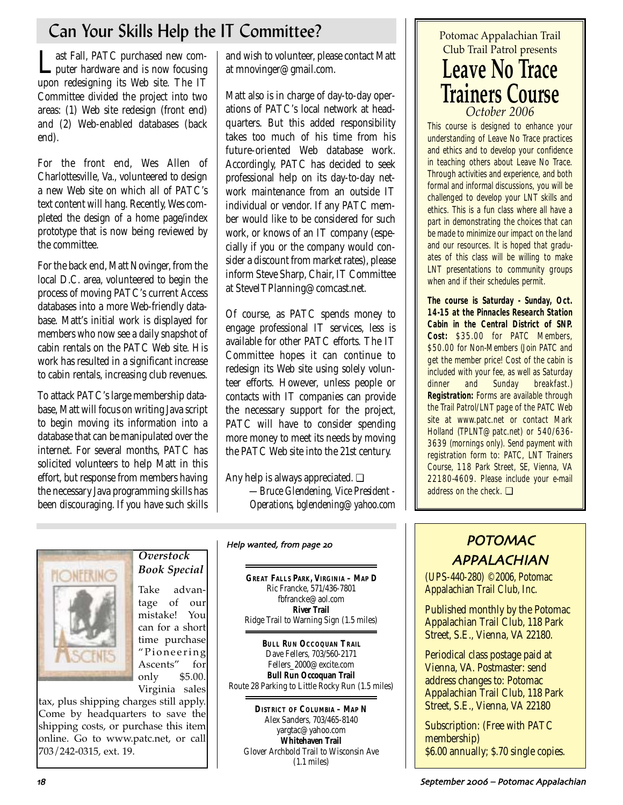# Can Your Skills Help the IT Committee?

Last Fall, PATC purchased new com-<br>puter hardware and is now focusing upon redesigning its Web site. The IT Committee divided the project into two areas: (1) Web site redesign (front end) and (2) Web-enabled databases (back end).

For the front end, Wes Allen of Charlottesville, Va., volunteered to design a new Web site on which all of PATC's text content will hang. Recently, Wes completed the design of a home page/index prototype that is now being reviewed by the committee.

For the back end, Matt Novinger, from the local D.C. area, volunteered to begin the process of moving PATC's current Access databases into a more Web-friendly database. Matt's initial work is displayed for members who now see a daily snapshot of cabin rentals on the PATC Web site. His work has resulted in a significant increase to cabin rentals, increasing club revenues.

To attack PATC's large membership database, Matt will focus on writing Java script to begin moving its information into a database that can be manipulated over the internet. For several months, PATC has solicited volunteers to help Matt in this effort, but response from members having the necessary Java programming skills has been discouraging. If you have such skills and wish to volunteer, please contact Matt at mnovinger@gmail.com.

Matt also is in charge of day-to-day operations of PATC's local network at headquarters. But this added responsibility takes too much of his time from his future-oriented Web database work. Accordingly, PATC has decided to seek professional help on its day-to-day network maintenance from an outside IT individual or vendor. If any PATC member would like to be considered for such work, or knows of an IT company (especially if you or the company would consider a discount from market rates), please inform Steve Sharp, Chair, IT Committee at SteveITPlanning@comcast.net.

Of course, as PATC spends money to engage professional IT services, less is available for other PATC efforts. The IT Committee hopes it can continue to redesign its Web site using solely volunteer efforts. However, unless people or contacts with IT companies can provide the necessary support for the project, PATC will have to consider spending more money to meet its needs by moving the PATC Web site into the 21st century.

Any help is always appreciated. ❏ *—Bruce Glendening, Vice President - Operations, bglendening@yahoo.com*



# *Overstock Book Special*

Take advantage of our mistake! You can for a short time purchase "Pioneering Ascents" for only \$5.00. Virginia sales

tax, plus shipping charges still apply. Come by headquarters to save the shipping costs, or purchase this item online. Go to www.patc.net, or call 703/242-0315, ext. 19.

**GREAT FALLS PARK, VIRGINIA – MAP D** Ric Francke, 571/436-7801 fbfrancke@aol.com **River Trail**  Ridge Trail to Warning Sign (1.5 miles)

Help wanted, from page 20

**BULL RUN OCCOQUAN TRAIL** Dave Fellers, 703/560-2171 Fellers\_2000@excite.com **Bull Run Occoquan Trail** Route 28 Parking to Little Rocky Run (1.5 miles)

**DISTRICT OF COLUMBIA – MAP N** Alex Sanders, 703/465-8140 yargtac@yahoo.com **Whitehaven Trail** Glover Archbold Trail to Wisconsin Ave (1.1 miles)

# Potomac Appalachian Trail Club Trail Patrol presents **Leave No Trace Trainers Course** *October 2006*

This course is designed to enhance your understanding of Leave No Trace practices and ethics and to develop your confidence in teaching others about Leave No Trace. Through activities and experience, and both formal and informal discussions, you will be challenged to develop your LNT skills and ethics. This is a fun class where all have a part in demonstrating the choices that can be made to minimize our impact on the land and our resources. It is hoped that graduates of this class will be willing to make LNT presentations to community groups when and if their schedules permit.

**The course is Saturday - Sunday, Oct. 14-15 at the Pinnacles Research Station Cabin in the Central District of SNP. Cost:** \$35.00 for PATC Members, \$50.00 for Non-Members (Join PATC and get the member price! Cost of the cabin is included with your fee, as well as Saturday dinner and Sunday breakfast.) **Registration:** Forms are available through the Trail Patrol/LNT page of the PATC Web site at www.patc.net or contact Mark Holland (TPLNT@patc.net) or 540/636- 3639 (mornings only). Send payment with registration form to: PATC, LNT Trainers Course, 118 Park Street, SE, Vienna, VA 22180-4609. Please include your e-mail address on the check. ❏

# POTOMAC APPALACHIAN

(UPS-440-280) ©2006, Potomac Appalachian Trail Club, Inc.

Published monthly by the Potomac Appalachian Trail Club, 118 Park Street, S.E., Vienna, VA 22180.

Periodical class postage paid at Vienna, VA. Postmaster: send address changes to: Potomac Appalachian Trail Club, 118 Park Street, S.E., Vienna, VA 22180

Subscription: (Free with PATC membership) \$6.00 annually; \$.70 single copies.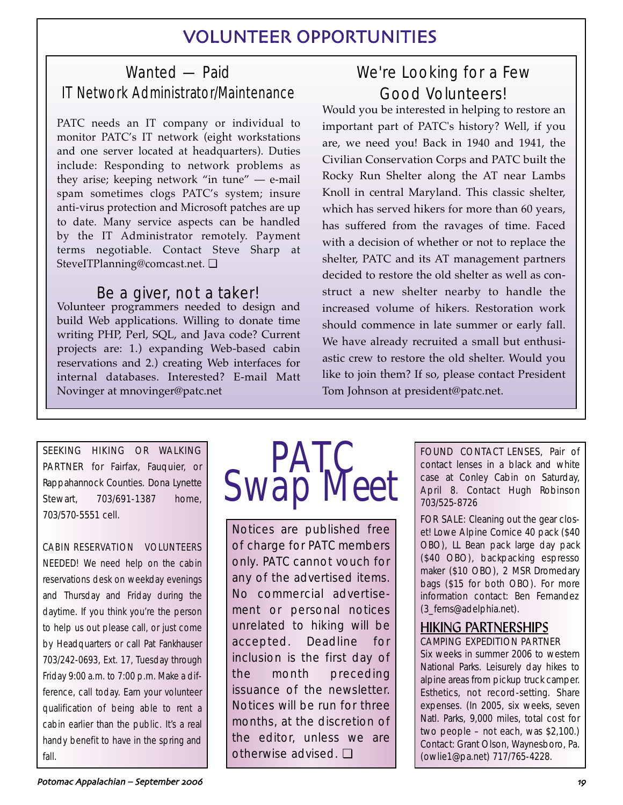# VOLUNTEER OPPORTUNITIES

# Wanted — Paid IT Network Administrator/Maintenance

PATC needs an IT company or individual to monitor PATC's IT network (eight workstations and one server located at headquarters). Duties include: Responding to network problems as they arise; keeping network "in tune" — e-mail spam sometimes clogs PATC's system; insure anti-virus protection and Microsoft patches are up to date. Many service aspects can be handled by the IT Administrator remotely. Payment terms negotiable. Contact Steve Sharp at SteveITPlanning@comcast.net. ❏

# Be a giver, not a taker!

Volunteer programmers needed to design and build Web applications. Willing to donate time writing PHP, Perl, SQL, and Java code? Current projects are: 1.) expanding Web-based cabin reservations and 2.) creating Web interfaces for internal databases. Interested? E-mail Matt Novinger at mnovinger@patc.net

# We're Looking for a Few Good Volunteers!

Would you be interested in helping to restore an important part of PATC's history? Well, if you are, we need you! Back in 1940 and 1941, the Civilian Conservation Corps and PATC built the Rocky Run Shelter along the AT near Lambs Knoll in central Maryland. This classic shelter, which has served hikers for more than 60 years, has suffered from the ravages of time. Faced with a decision of whether or not to replace the shelter, PATC and its AT management partners decided to restore the old shelter as well as construct a new shelter nearby to handle the increased volume of hikers. Restoration work should commence in late summer or early fall. We have already recruited a small but enthusiastic crew to restore the old shelter. Would you like to join them? If so, please contact President Tom Johnson at president@patc.net.

SEEKING HIKING OR WALKING PARTNER for Fairfax, Fauquier, or Rappahannock Counties. Dona Lynette Stewart, 703/691-1387 home, 703/570-5551 cell.

CABIN RESERVATION VOLUNTEERS NEEDED! We need help on the cabin reservations desk on weekday evenings and Thursday and Friday during the daytime. If you think you're the person to help us out please call, or just come by Headquarters or call Pat Fankhauser 703/242-0693, Ext. 17, Tuesday through Friday 9:00 a.m. to 7:00 p.m. Make a difference, call today. Earn your volunteer qualification of being able to rent a cabin earlier than the public. It's a real handy benefit to have in the spring and fall.



Notices are published free of charge for PATC members only. PATC cannot vouch for any of the advertised items. No commercial advertisement or personal notices unrelated to hiking will be accepted. Deadline for inclusion is the first day of the month preceding issuance of the newsletter. Notices will be run for three months, at the discretion of the editor, unless we are otherwise advised. ❏

FOUND CONTACT LENSES, Pair of contact lenses in a black and white case at Conley Cabin on Saturday, April 8. Contact Hugh Robinson 703/525-8726

FOR SALE: Cleaning out the gear closet! Lowe Alpine Cornice 40 pack (\$40 OBO), LL Bean pack large day pack (\$40 OBO), backpacking espresso maker (\$10 OBO), 2 MSR Dromedary bags (\$15 for both OBO). For more information contact: Ben Fernandez (3\_ferns@adelphia.net).

## HIKING PARTNERSHIPS CAMPING EXPEDITION PARTNER

Six weeks in summer 2006 to western National Parks. Leisurely day hikes to alpine areas from pickup truck camper. Esthetics, not record-setting. Share expenses. (In 2005, six weeks, seven Natl. Parks, 9,000 miles, total cost for two people – not each, was \$2,100.) Contact: Grant Olson, Waynesboro, Pa. (owlie1@pa.net) 717/765-4228.